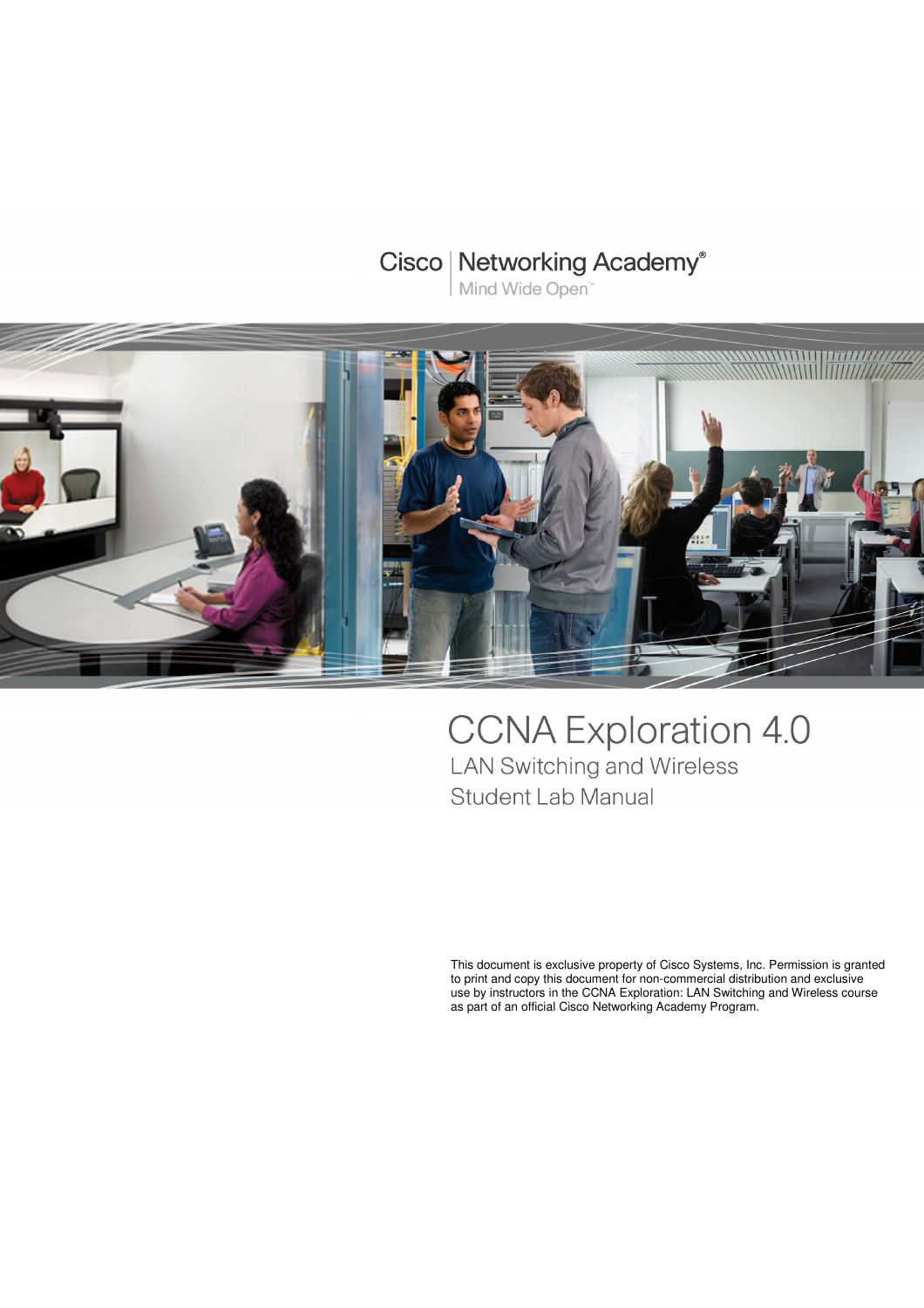# **Cisco | Networking Academy®**

Mind Wide Open<sup>™</sup>



# **CCNA Exploration 4.0** LAN Switching and Wireless Student Lab Manual

This document is exclusive property of Cisco Systems, Inc. Permission is granted to print and copy this document for non-commercial distribution and exclusive use by instructors in the CCNA Exploration: LAN Switching and Wireless course as part of an official Cisco Networking Academy Program.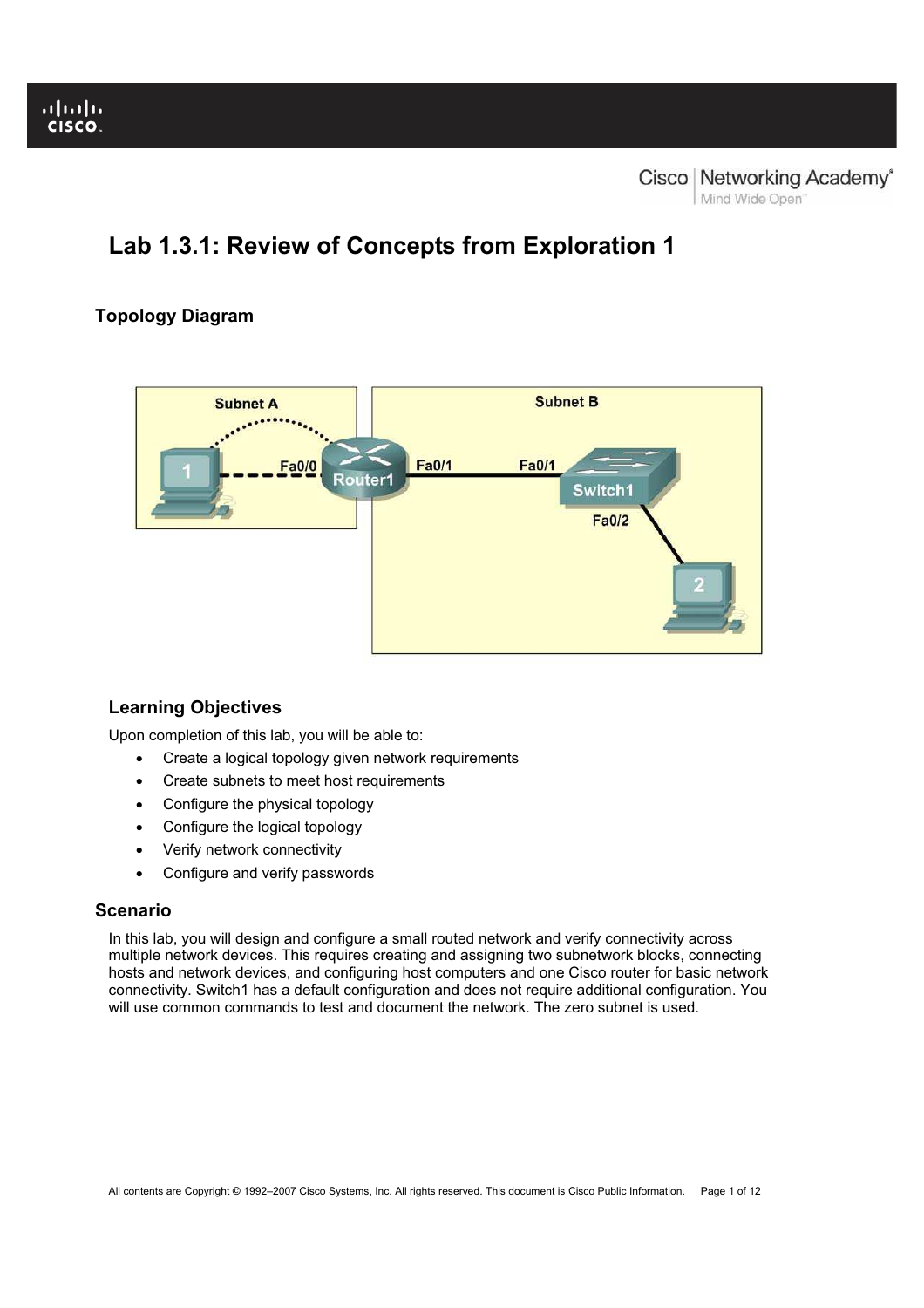# **Lab 1.3.1: Review of Concepts from Exploration 1**

# **Topology Diagram**



# **Learning Objectives**

Upon completion of this lab, you will be able to:

- Create a logical topology given network requirements
- Create subnets to meet host requirements
- Configure the physical topology
- Configure the logical topology
- Verify network connectivity
- Configure and verify passwords

# **Scenario**

In this lab, you will design and configure a small routed network and verify connectivity across multiple network devices. This requires creating and assigning two subnetwork blocks, connecting hosts and network devices, and configuring host computers and one Cisco router for basic network connectivity. Switch1 has a default configuration and does not require additional configuration. You will use common commands to test and document the network. The zero subnet is used.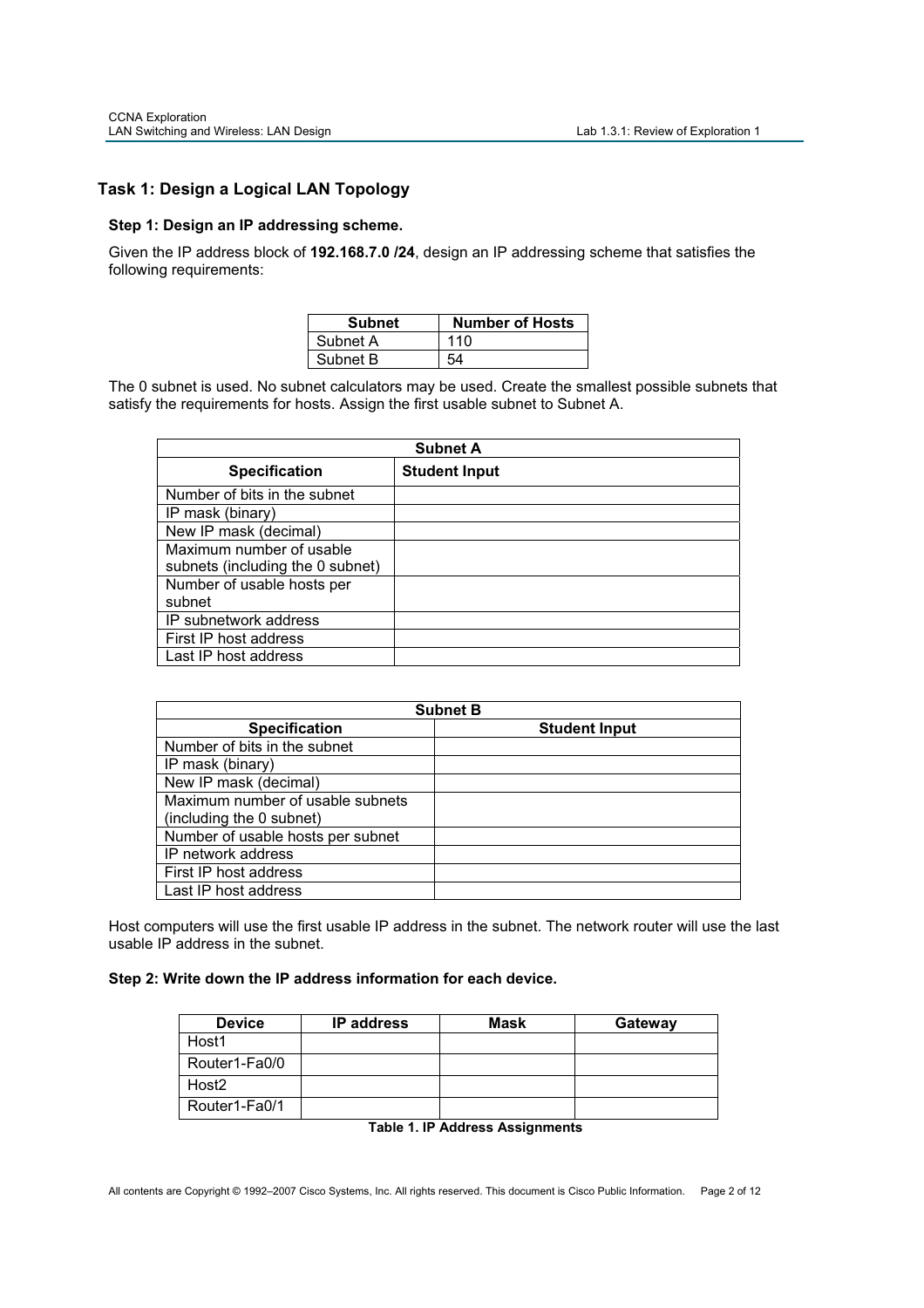# **Task 1: Design a Logical LAN Topology**

#### **Step 1: Design an IP addressing scheme.**

Given the IP address block of **192.168.7.0 /24**, design an IP addressing scheme that satisfies the following requirements:

| <b>Subnet</b> | <b>Number of Hosts</b> |
|---------------|------------------------|
| Subnet A      | 110                    |
| Subnet B      |                        |

The 0 subnet is used. No subnet calculators may be used. Create the smallest possible subnets that satisfy the requirements for hosts. Assign the first usable subnet to Subnet A.

|                                  | <b>Subnet A</b>      |
|----------------------------------|----------------------|
| <b>Specification</b>             | <b>Student Input</b> |
| Number of bits in the subnet     |                      |
| IP mask (binary)                 |                      |
| New IP mask (decimal)            |                      |
| Maximum number of usable         |                      |
| subnets (including the 0 subnet) |                      |
| Number of usable hosts per       |                      |
| subnet                           |                      |
| IP subnetwork address            |                      |
| First IP host address            |                      |
| Last IP host address             |                      |

| <b>Subnet B</b>                   |                      |  |  |  |  |  |  |  |  |  |
|-----------------------------------|----------------------|--|--|--|--|--|--|--|--|--|
| <b>Specification</b>              | <b>Student Input</b> |  |  |  |  |  |  |  |  |  |
| Number of bits in the subnet      |                      |  |  |  |  |  |  |  |  |  |
| IP mask (binary)                  |                      |  |  |  |  |  |  |  |  |  |
| New IP mask (decimal)             |                      |  |  |  |  |  |  |  |  |  |
| Maximum number of usable subnets  |                      |  |  |  |  |  |  |  |  |  |
| (including the 0 subnet)          |                      |  |  |  |  |  |  |  |  |  |
| Number of usable hosts per subnet |                      |  |  |  |  |  |  |  |  |  |
| IP network address                |                      |  |  |  |  |  |  |  |  |  |
| First IP host address             |                      |  |  |  |  |  |  |  |  |  |
| Last IP host address              |                      |  |  |  |  |  |  |  |  |  |

Host computers will use the first usable IP address in the subnet. The network router will use the last usable IP address in the subnet.

### **Step 2: Write down the IP address information for each device.**

| <b>Device</b>     | <b>IP</b> address | <b>Mask</b> | Gateway |
|-------------------|-------------------|-------------|---------|
| Host1             |                   |             |         |
| Router1-Fa0/0     |                   |             |         |
| Host <sub>2</sub> |                   |             |         |
| Router1-Fa0/1     |                   |             |         |

|  | <b>Table 1. IP Address Assignments</b> |
|--|----------------------------------------|
|  |                                        |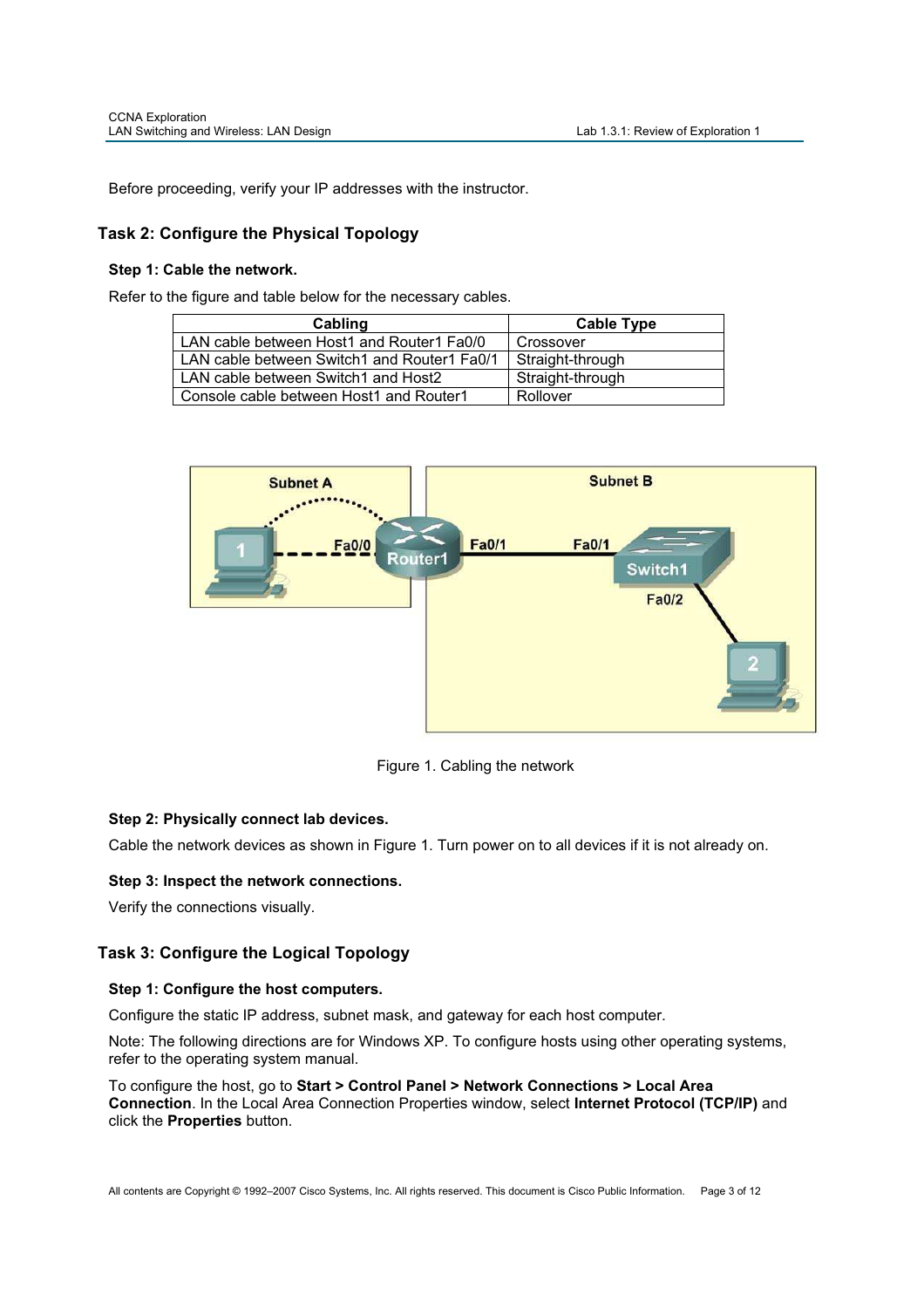Before proceeding, verify your IP addresses with the instructor.

# **Task 2: Configure the Physical Topology**

### **Step 1: Cable the network.**

Refer to the figure and table below for the necessary cables.

| Cabling                                     | <b>Cable Type</b> |
|---------------------------------------------|-------------------|
| LAN cable between Host1 and Router1 Fa0/0   | Crossover         |
| LAN cable between Switch1 and Router1 Fa0/1 | Straight-through  |
| LAN cable between Switch1 and Host2         | Straight-through  |
| Console cable between Host1 and Router1     | Rollover          |



Figure 1. Cabling the network

# **Step 2: Physically connect lab devices.**

Cable the network devices as shown in Figure 1. Turn power on to all devices if it is not already on.

# **Step 3: Inspect the network connections.**

Verify the connections visually.

# **Task 3: Configure the Logical Topology**

### **Step 1: Configure the host computers.**

Configure the static IP address, subnet mask, and gateway for each host computer.

Note: The following directions are for Windows XP. To configure hosts using other operating systems, refer to the operating system manual.

To configure the host, go to **Start > Control Panel > Network Connections > Local Area Connection**. In the Local Area Connection Properties window, select **Internet Protocol (TCP/IP)** and click the **Properties** button.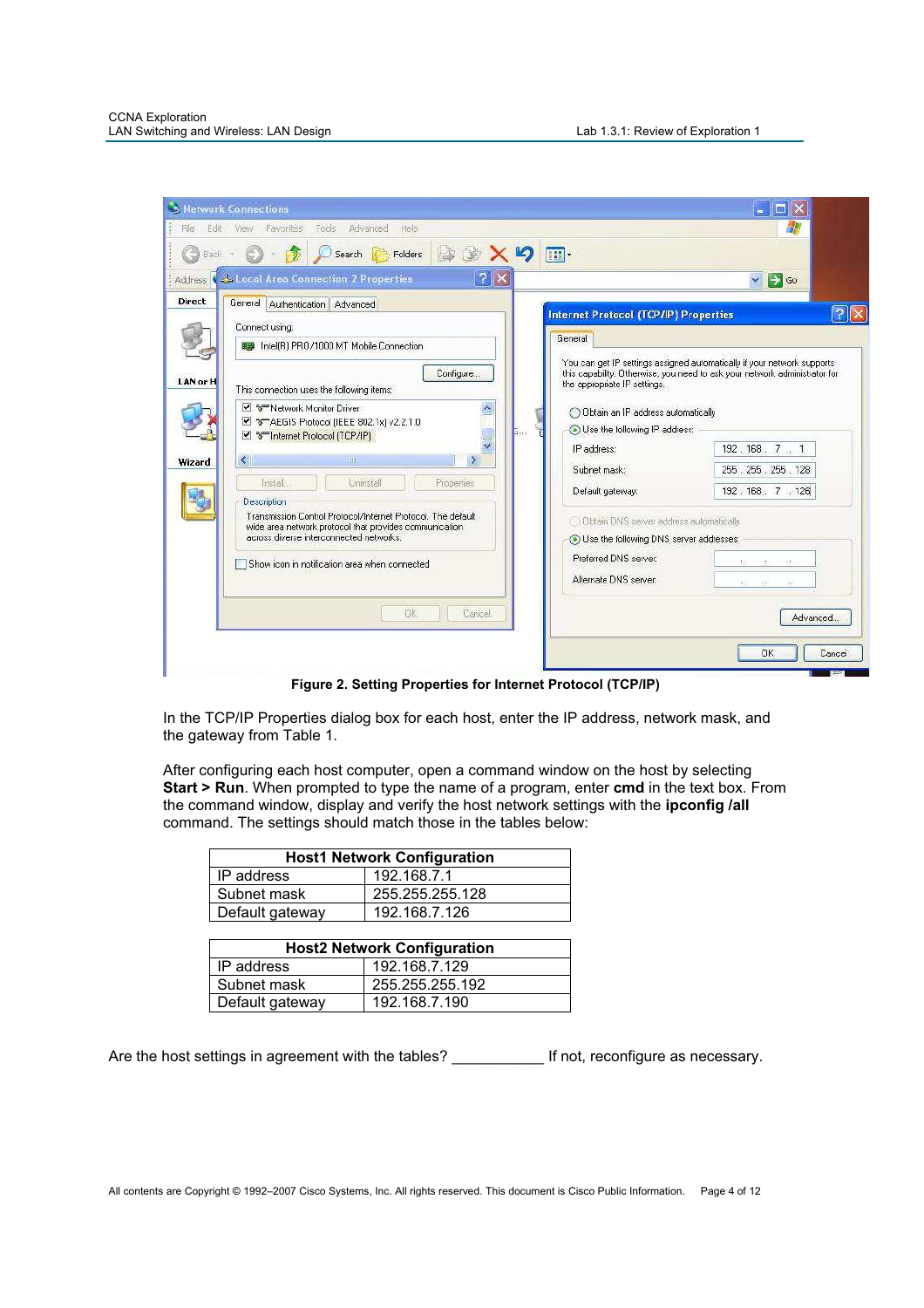| Edit<br>File   | <b>S Network Connections</b><br>View Favorites<br>Tools<br>Advanced<br>Help                                                                                       | $-101$                                                                                                                                                                                           |        |
|----------------|-------------------------------------------------------------------------------------------------------------------------------------------------------------------|--------------------------------------------------------------------------------------------------------------------------------------------------------------------------------------------------|--------|
| Back -         | 1<br>$\mathfrak{p}$<br>Search<br><b>B</b><br>Folders                                                                                                              | $\blacksquare$                                                                                                                                                                                   |        |
| <b>Address</b> | <b>J. Local Area Connection 2 Properties</b>                                                                                                                      | $\Rightarrow$ Go<br>$\blacktriangledown$                                                                                                                                                         |        |
| <b>Direct</b>  | General Authentication Advanced<br>Connect using:                                                                                                                 | <b>Internet Protocol (TCP/IP) Properties</b>                                                                                                                                                     | 7      |
| LAN or H       | THE Intel(R) PRO/1000 MT Mobile Connection<br>Configure                                                                                                           | General<br>You can get IP settings assigned automatically if your network supports<br>this capability. Otherwise, you need to ask your network administrator for<br>the appropriate IP settings. |        |
|                | This connection uses the following items:<br>▶ अन्हर Network Monitor Driver<br>T TAEGIS Protocol (IEEE 802.1x) v2.2.1.0<br>2.<br>✔ Trinternet Protocol (TCP/IP)   | O Obtain an IP address automatically<br>(.) Use the following IP address:                                                                                                                        |        |
| Wizard         | k<br><b>SULL</b><br>Þ                                                                                                                                             | 192.168.7.1<br>IP address:<br>Subnet mask:<br>255 . 255 . 255 . 128                                                                                                                              |        |
|                | Uninstall<br>Install.<br>Properties<br>Description                                                                                                                | 192.168.7.126<br>Default gateway:                                                                                                                                                                |        |
|                | Transmission Control Protocol/Internet Protocol, The default<br>wide area network protocol that provides communication<br>across diverse interconnected networks. | Obtain DNS server address automatically<br>(a) Use the following DNS server addresses:                                                                                                           |        |
|                | Show icon in notification area when connected                                                                                                                     | Preferred DNS server:<br>$\sim$<br>Alternate DNS server:<br>86<br>45                                                                                                                             |        |
|                | <b>OK</b><br>Cancel                                                                                                                                               | Advanced                                                                                                                                                                                         |        |
|                |                                                                                                                                                                   | OK                                                                                                                                                                                               | Cancel |

**Figure 2. Setting Properties for Internet Protocol (TCP/IP)** 

In the TCP/IP Properties dialog box for each host, enter the IP address, network mask, and the gateway from Table 1.

After configuring each host computer, open a command window on the host by selecting **Start > Run**. When prompted to type the name of a program, enter **cmd** in the text box. From the command window, display and verify the host network settings with the **ipconfig /all** command. The settings should match those in the tables below:

| <b>Host1 Network Configuration</b> |                 |  |  |  |  |  |  |  |  |
|------------------------------------|-----------------|--|--|--|--|--|--|--|--|
| IP address                         | 192.168.7.1     |  |  |  |  |  |  |  |  |
| Subnet mask                        | 255.255.255.128 |  |  |  |  |  |  |  |  |
| Default gateway                    | 192.168.7.126   |  |  |  |  |  |  |  |  |
|                                    |                 |  |  |  |  |  |  |  |  |

|                 | <b>Host2 Network Configuration</b> |
|-----------------|------------------------------------|
| IP address      | 192.168.7.129                      |
| Subnet mask     | 255.255.255.192                    |
| Default gateway | 192.168.7.190                      |

Are the host settings in agreement with the tables? \_\_\_\_\_\_\_\_\_\_\_\_\_ If not, reconfigure as necessary.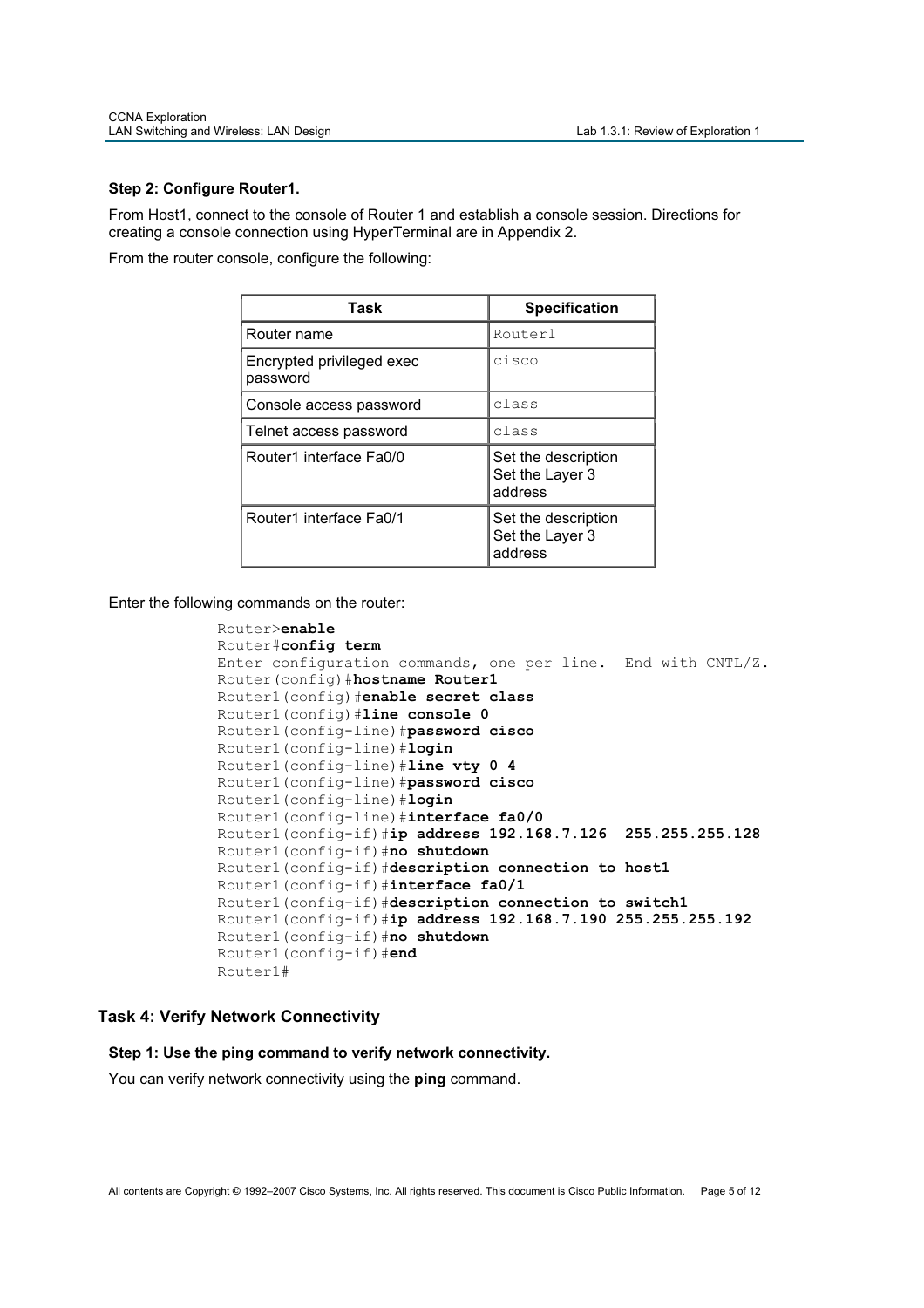### **Step 2: Configure Router1.**

From Host1, connect to the console of Router 1 and establish a console session. Directions for creating a console connection using HyperTerminal are in Appendix 2.

From the router console, configure the following:

| Task                                  | <b>Specification</b>                              |
|---------------------------------------|---------------------------------------------------|
| Router name                           | Router1                                           |
| Encrypted privileged exec<br>password | cisco                                             |
| Console access password               | class                                             |
| Telnet access password                | class                                             |
| Router1 interface Fa0/0               | Set the description<br>Set the Layer 3<br>address |
| Router1 interface Fa0/1               | Set the description<br>Set the Layer 3<br>address |

Enter the following commands on the router:

```
Router>enable
Router#config term
Enter configuration commands, one per line. End with CNTL/Z. 
Router(config)#hostname Router1
Router1(config)#enable secret class
Router1(config)#line console 0
Router1(config-line)#password cisco
Router1(config-line)#login
Router1(config-line)#line vty 0 4
Router1(config-line)#password cisco
Router1(config-line)#login
Router1(config-line)#interface fa0/0
Router1(config-if)#ip address 192.168.7.126 255.255.255.128 
Router1(config-if)#no shutdown
Router1(config-if)#description connection to host1
Router1(config-if)#interface fa0/1
Router1(config-if)#description connection to switch1
Router1(config-if)#ip address 192.168.7.190 255.255.255.192
Router1(config-if)#no shutdown
Router1(config-if)#end
Router1#
```
# **Task 4: Verify Network Connectivity**

**Step 1: Use the ping command to verify network connectivity.** 

You can verify network connectivity using the **ping** command.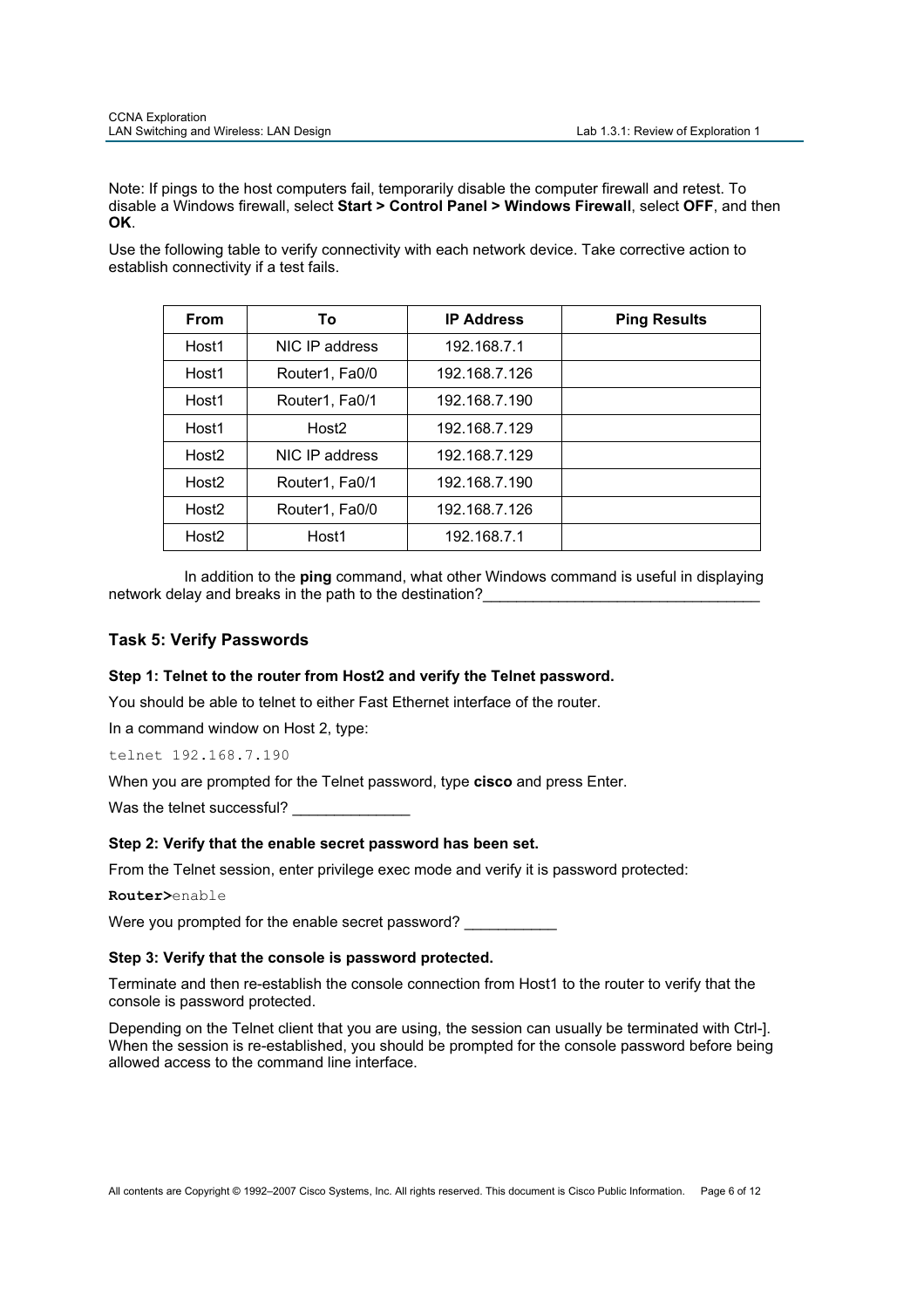Note: If pings to the host computers fail, temporarily disable the computer firewall and retest. To disable a Windows firewall, select **Start > Control Panel > Windows Firewall**, select **OFF**, and then **OK**.

Use the following table to verify connectivity with each network device. Take corrective action to establish connectivity if a test fails.

| <b>From</b>       | To                | <b>IP Address</b> | <b>Ping Results</b> |
|-------------------|-------------------|-------------------|---------------------|
| Host1             | NIC IP address    | 192.168.7.1       |                     |
| Host1             | Router1, Fa0/0    | 192.168.7.126     |                     |
| Host1             | Router1, Fa0/1    | 192.168.7.190     |                     |
| Host1             | Host <sub>2</sub> | 192.168.7.129     |                     |
| Host <sub>2</sub> | NIC IP address    | 192.168.7.129     |                     |
| Host <sub>2</sub> | Router1, Fa0/1    | 192.168.7.190     |                     |
| Host <sub>2</sub> | Router1, Fa0/0    | 192.168.7.126     |                     |
| Host <sub>2</sub> | Host1             | 192.168.7.1       |                     |

 In addition to the **ping** command, what other Windows command is useful in displaying network delay and breaks in the path to the destination?

# **Task 5: Verify Passwords**

### **Step 1: Telnet to the router from Host2 and verify the Telnet password.**

You should be able to telnet to either Fast Ethernet interface of the router.

In a command window on Host 2, type:

telnet 192.168.7.190

When you are prompted for the Telnet password, type **cisco** and press Enter.

Was the telnet successful?

### **Step 2: Verify that the enable secret password has been set.**

From the Telnet session, enter privilege exec mode and verify it is password protected:

**Router>**enable

Were you prompted for the enable secret password?

### **Step 3: Verify that the console is password protected.**

Terminate and then re-establish the console connection from Host1 to the router to verify that the console is password protected.

Depending on the Telnet client that you are using, the session can usually be terminated with Ctrl-]. When the session is re-established, you should be prompted for the console password before being allowed access to the command line interface.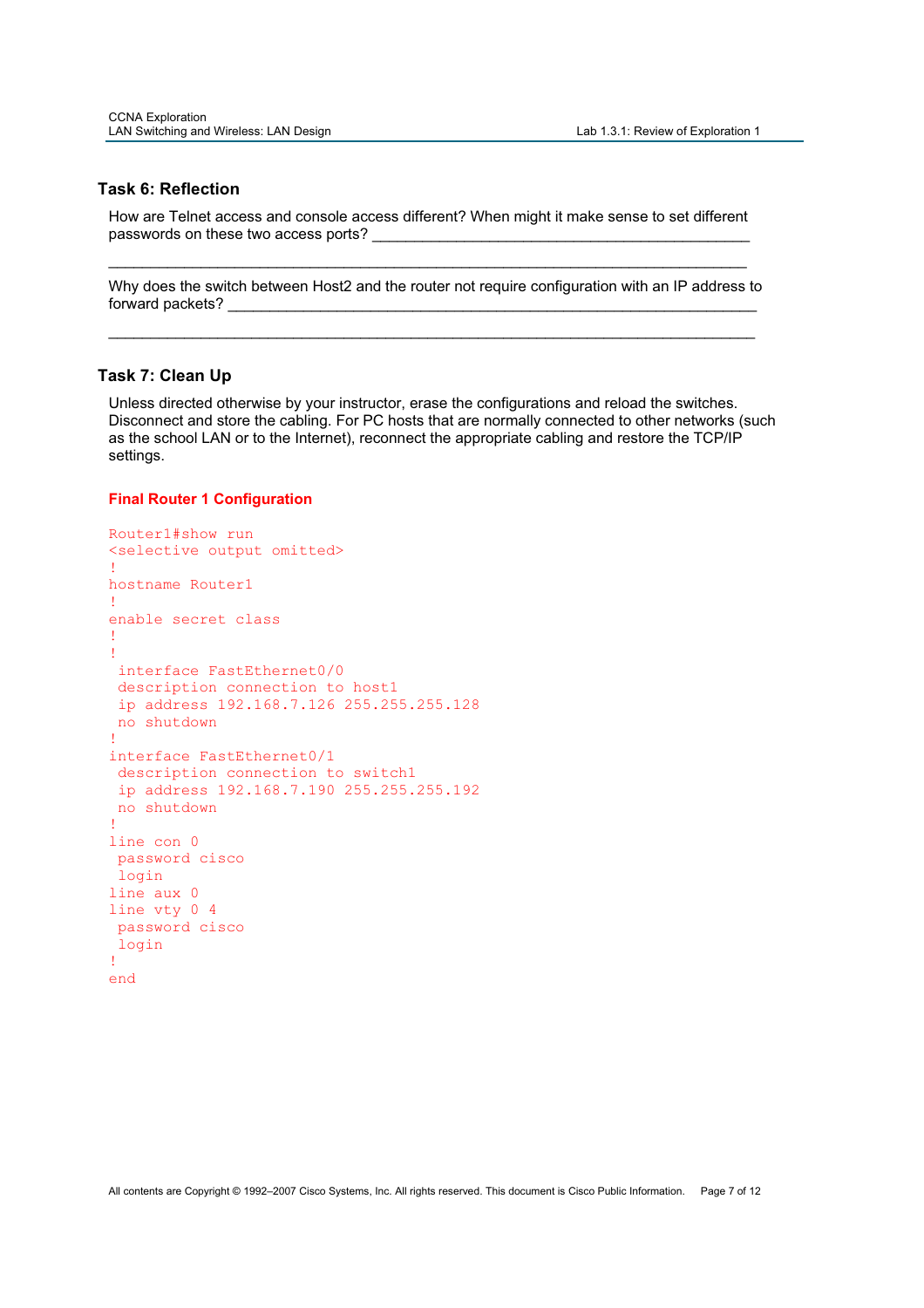### **Task 6: Reflection**

How are Telnet access and console access different? When might it make sense to set different passwords on these two access ports?

\_\_\_\_\_\_\_\_\_\_\_\_\_\_\_\_\_\_\_\_\_\_\_\_\_\_\_\_\_\_\_\_\_\_\_\_\_\_\_\_\_\_\_\_\_\_\_\_\_\_\_\_\_\_\_\_\_\_\_\_\_\_\_\_\_\_\_\_\_\_\_\_\_\_\_\_

Why does the switch between Host2 and the router not require configuration with an IP address to forward packets?

\_\_\_\_\_\_\_\_\_\_\_\_\_\_\_\_\_\_\_\_\_\_\_\_\_\_\_\_\_\_\_\_\_\_\_\_\_\_\_\_\_\_\_\_\_\_\_\_\_\_\_\_\_\_\_\_\_\_\_\_\_\_\_\_\_\_\_\_\_\_\_\_\_\_\_\_\_

### **Task 7: Clean Up**

Unless directed otherwise by your instructor, erase the configurations and reload the switches. Disconnect and store the cabling. For PC hosts that are normally connected to other networks (such as the school LAN or to the Internet), reconnect the appropriate cabling and restore the TCP/IP settings.

### **Final Router 1 Configuration**

```
Router1#show run 
<selective output omitted> 
!
hostname Router1 
!
enable secret class 
!
!
 interface FastEthernet0/0 
 description connection to host1 
 ip address 192.168.7.126 255.255.255.128 
 no shutdown 
!
interface FastEthernet0/1 
 description connection to switch1 
 ip address 192.168.7.190 255.255.255.192 
 no shutdown 
!
line con 0 
 password cisco 
 login 
line aux 0 
line vty 0 4 
 password cisco 
 login 
!
end
```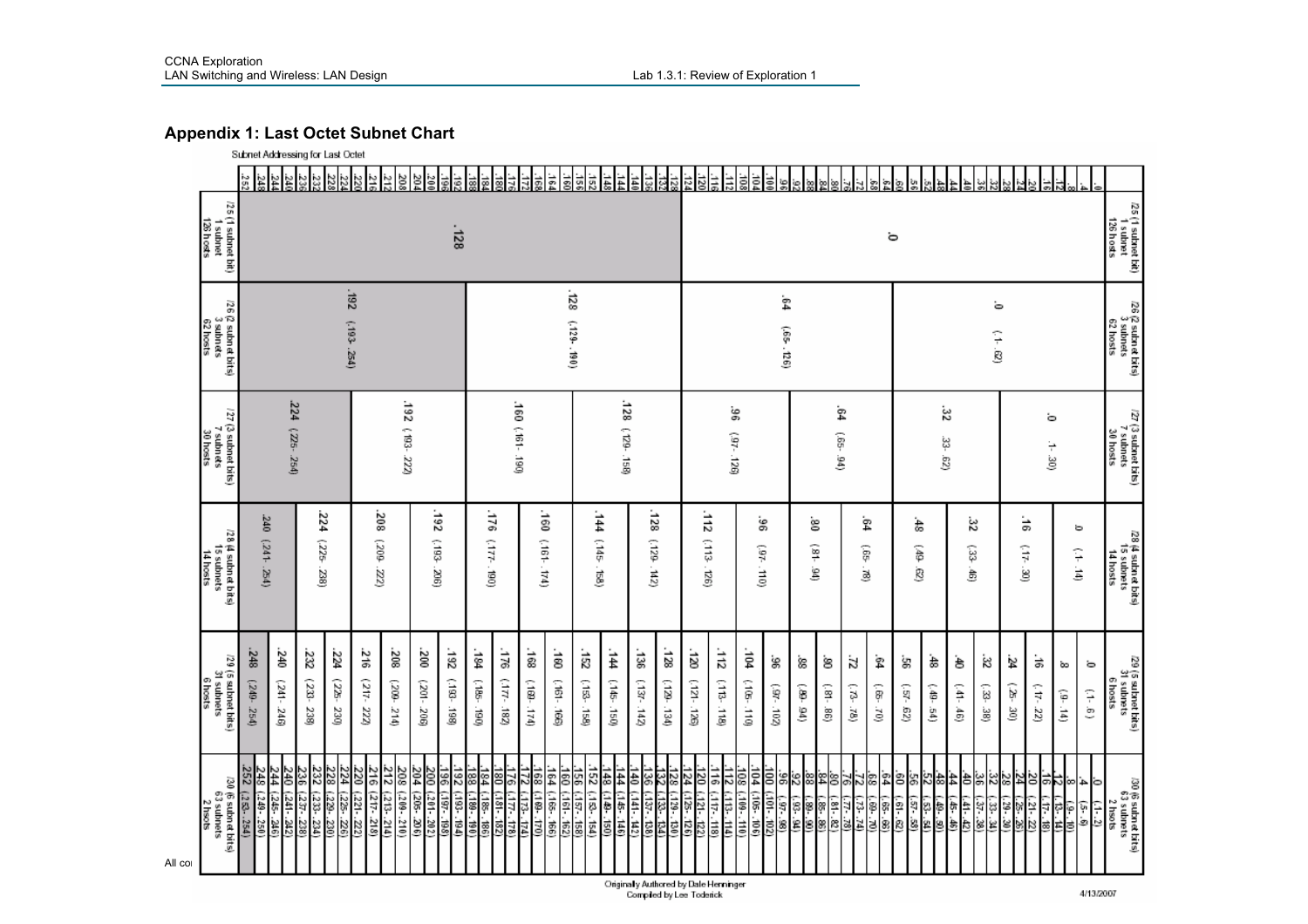# **Appendix 1: Last Octet Subnet Chart**

|                                                         | Subnet Addressing for Last Octet                |                                                           |                      |                      |                                                                                                     |                                              |                                                               |                           |                        |                              |                          |                                    |                              |                                                            |                                                                                                                                                                                                                                                                                                                                                                            |                      |                    |                            |                     |                    |                         |              |                                     |                   |                  |                    |                                             |                                             |             |                  |                                          |                     |                                                 |  |  |  |  |                 |  |  |  |                                            |  |                |  |                         |              |  |         |   |   |                       |  |               |  |                 |                                               |
|---------------------------------------------------------|-------------------------------------------------|-----------------------------------------------------------|----------------------|----------------------|-----------------------------------------------------------------------------------------------------|----------------------------------------------|---------------------------------------------------------------|---------------------------|------------------------|------------------------------|--------------------------|------------------------------------|------------------------------|------------------------------------------------------------|----------------------------------------------------------------------------------------------------------------------------------------------------------------------------------------------------------------------------------------------------------------------------------------------------------------------------------------------------------------------------|----------------------|--------------------|----------------------------|---------------------|--------------------|-------------------------|--------------|-------------------------------------|-------------------|------------------|--------------------|---------------------------------------------|---------------------------------------------|-------------|------------------|------------------------------------------|---------------------|-------------------------------------------------|--|--|--|--|-----------------|--|--|--|--------------------------------------------|--|----------------|--|-------------------------|--------------|--|---------|---|---|-----------------------|--|---------------|--|-----------------|-----------------------------------------------|
|                                                         | 35                                              | <u>ਯੂ ដូច</u> ្នាំ ដូន្ន                                  |                      |                      |                                                                                                     | 203<br>외                                     |                                                               |                           |                        |                              |                          | $\frac{1}{2}$                      | $\frac{1}{3}$<br>ä           | ä<br>Ë                                                     |                                                                                                                                                                                                                                                                                                                                                                            | 553                  | 햛<br>하력<br>ಕ<br>قع |                            |                     |                    |                         |              |                                     |                   |                  |                    |                                             |                                             |             |                  |                                          |                     |                                                 |  |  |  |  |                 |  |  |  |                                            |  |                |  |                         |              |  |         |   |   |                       |  |               |  |                 |                                               |
| /25 (1 subnet bit)<br>1 subnet<br>126 hosts             | $-128$                                          |                                                           |                      |                      |                                                                                                     |                                              |                                                               |                           |                        |                              |                          |                                    |                              | ö                                                          |                                                                                                                                                                                                                                                                                                                                                                            |                      |                    |                            |                     |                    |                         |              |                                     |                   |                  |                    |                                             | /25 (1 subnet bit)<br>1 subnet<br>126 hosts |             |                  |                                          |                     |                                                 |  |  |  |  |                 |  |  |  |                                            |  |                |  |                         |              |  |         |   |   |                       |  |               |  |                 |                                               |
| 56<br>6 (2 subnet bits)<br>3 subnets<br>62 hosts        |                                                 | 261'<br>$\frac{128}{2}$<br>(193.254)<br>$(129 - 190)$     |                      |                      |                                                                                                     |                                              |                                                               |                           |                        |                              |                          |                                    |                              | ġ4<br>ò<br>(65.126)<br>$(-1, 62)$                          |                                                                                                                                                                                                                                                                                                                                                                            |                      |                    |                            |                     |                    |                         |              |                                     |                   |                  |                    | 26 (2 subnet bits)<br>3 subnets<br>62 hosts |                                             |             |                  |                                          |                     |                                                 |  |  |  |  |                 |  |  |  |                                            |  |                |  |                         |              |  |         |   |   |                       |  |               |  |                 |                                               |
| /27 (3 subnet bits)<br>7 subnets<br>30 hosts            |                                                 | 224 (225-254)                                             |                      |                      |                                                                                                     |                                              | 192 (193-222)                                                 |                           |                        |                              | $081 - 191$ 091          |                                    |                              | 128<br>(129.158)                                           |                                                                                                                                                                                                                                                                                                                                                                            |                      |                    |                            | န္တ<br>$(92 - 126)$ |                    |                         |              | -64<br>Ģ5.<br>ë                     |                   |                  | ಜ್ಞ<br>ġ           | జ                                           |                                             |             |                  | ö<br>$1 - 30$                            |                     | /27 (3 subnet bits)<br>7 subnets<br>30 hosts    |  |  |  |  |                 |  |  |  |                                            |  |                |  |                         |              |  |         |   |   |                       |  |               |  |                 |                                               |
| /28 (4 subnet bits)<br>15 subnets<br>14 hosts           |                                                 | 240<br>(141.254)                                          |                      | 224<br>-325<br>238)  |                                                                                                     | 208<br>(209.22)                              |                                                               | 792<br>$(190^\circ, 206)$ | $(177 - 190)$          | 921                          |                          | '9⊧<br>(161.174)                   |                              | $-144$<br>$(145 -$<br>j<br>G                               |                                                                                                                                                                                                                                                                                                                                                                            |                      |                    |                            |                     |                    |                         |              |                                     |                   |                  |                    |                                             |                                             |             |                  |                                          |                     |                                                 |  |  |  |  | 128<br>62L<br>ā |  |  |  | $\overline{112}$<br>(113<br>$\overline{a}$ |  | ွေ<br>ÎP.<br>j |  | g<br>$\frac{1}{2}$<br>g | ġ,<br>Ģ<br>ä |  | 숢<br>ô) | ġ | à | $\widetilde{z}$<br>್ಟ |  | ä<br>ίħ.<br>g |  | ь<br>$(1 - 14)$ | /28 (4 subnet bits)<br>15 subnets<br>14 hosts |
| /29 (5 subnet bits)<br>31 subnets<br>6 hosts            | .248<br>(249.254)                               | 240<br>$(241 -$<br>34G)                                   | 232<br>(233-<br>238) | 224<br>(225-<br>230) | $\frac{216}{5}$<br>$(217 -$<br>222)                                                                 | 208<br>$(200 - 214)$                         | $\frac{200}{2}$<br>$(201 - 206)$                              | 261<br>(.182-<br>i86      | .<br>श्र<br>(185-<br>ğ | $\frac{3}{2}$<br>ίm.<br>i8Z) | .<br>88<br>(∶80-<br>174) | .<br>8<br>$\overline{9}$<br>.<br>B | .<br>83<br>(153.<br>ig<br>Se | .<br>14<br>$\left(\frac{1}{2} \frac{dS}{dt}\right)$<br>isü | .<br>38<br>(137-<br>$\frac{1}{2}$                                                                                                                                                                                                                                                                                                                                          | :128<br>. 82.<br>iag | ä<br>(351-121)     | $\frac{1}{5}$<br>(113-118) | ÷g<br>$(105 - 110)$ | ġ,<br>$(97 - 102)$ | .<br>88<br>$(100 - 60)$ | ġ<br>Ģ<br>98 | ä<br>$\widetilde{\mathcal{B}}$<br>è | ġ<br>์<br>ดู<br>è | ġ,<br>-49')<br>g | á,<br>$(16 - 154)$ | ė<br>$(41 - 46)$                            | ಜ<br>33.<br>نغ<br>ر                         | ż<br>Ģ<br>ğ | 능<br>$(17 - 22)$ | õo<br>$(1, -14)$                         | ö<br>$(1 - 6)$      | /29 (5 subnet bits)<br>31 subnets<br>6 hosts    |  |  |  |  |                 |  |  |  |                                            |  |                |  |                         |              |  |         |   |   |                       |  |               |  |                 |                                               |
| /30 (6 subnet bits)<br>63 subnets<br>2 hsots<br>All col | 248 (248 - 254)<br>252 (253 - 254)<br>- Hing bi | $\frac{23}{244}$<br>$\frac{244}{44}$<br>$\frac{330}{300}$ |                      | 228<br>(22)<br>.230) | $\begin{array}{r} 212 \ (213 \\ 216 \ (217 \\ 220 \ (221 \\ 224 \ (225 \ . \end{array}$<br>(225.22) | 208 (209-210)<br>$(213, 214)$<br>(217 . 218) | $\frac{196}{200}$ (197.198)<br>200 (201.202)<br>204 (205.206) |                           |                        |                              |                          |                                    |                              |                                                            | $\begin{array}{l} 120 \ \hline 124 \ \hline 128 \ \hline 126 \ \hline 125 \ \hline 128 \ \hline 126 \ \hline 128 \ \hline 128 \ \hline 126 \ \hline 128 \ \hline 128 \ \hline 128 \ \hline 128 \ \hline 128 \ \hline 128 \ \hline 128 \ \hline 128 \ \hline 128 \ \hline 128 \ \hline 128 \ \hline 128 \ \hline 128 \ \hline 128 \ \hline 128 \ \hline 128 \ \hline 128 \$ |                      |                    |                            | 힘힘흲                 |                    | $\frac{3}{8}$           |              |                                     |                   |                  |                    |                                             | 의 없임원들 복임업명 회원 의원회원                         |             |                  | $\frac{(.9 \cdot .10)}{(.17 \cdot .18)}$ | 이치예일의의<br>$(1 - 2)$ | /30 (6 subnet bits)<br>63 subnets<br>$2$ hso ts |  |  |  |  |                 |  |  |  |                                            |  |                |  |                         |              |  |         |   |   |                       |  |               |  |                 |                                               |

Originally Authored by Dale Herninger<br>Compiled by Lee Toderick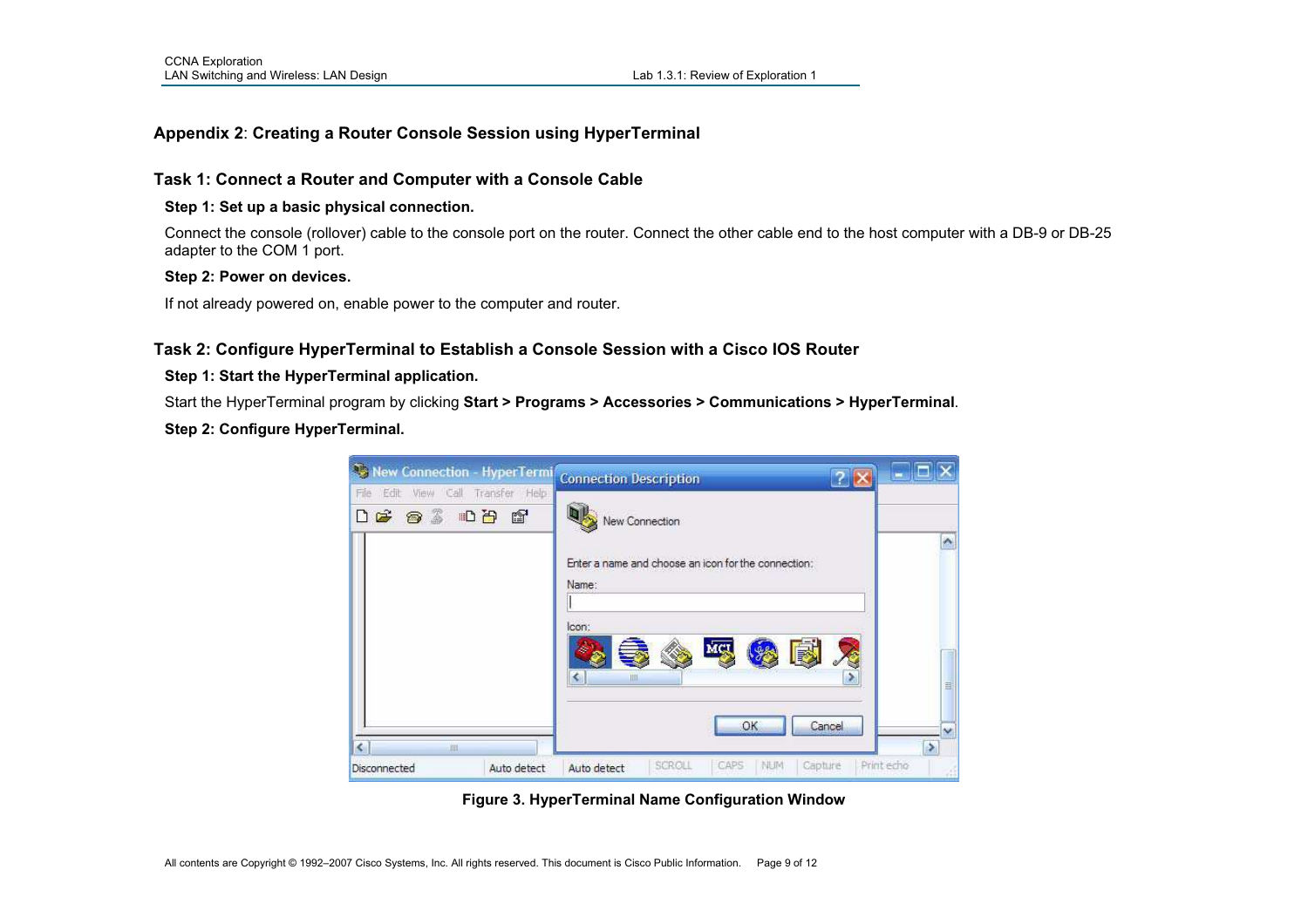# **Appendix 2**: **Creating a Router Console Session using HyperTerminal**

### **Task 1: Connect a Router and Computer with a Console Cable**

### **Step 1: Set up a basic physical connection.**

Connect the console (rollover) cable to the console port on the router. Connect the other cable end to the host computer with a DB-9 or DB-25 adapter to the COM 1 port.

#### **Step 2: Power on devices.**

If not already powered on, enable power to the computer and router.

### **Task 2: Configure HyperTerminal to Establish a Console Session with a Cisco IOS Router**

### **Step 1: Start the HyperTerminal application.**

Start the HyperTerminal program by clicking **Start > Programs > Accessories > Communications > HyperTerminal**.

### **Step 2: Configure HyperTerminal.**

| New Connection - HyperTermi                                                           | <b>Connection Description</b><br>?                           |                  |
|---------------------------------------------------------------------------------------|--------------------------------------------------------------|------------------|
| View Call<br>Edit<br>Transfer Help<br>File<br>$D \ncong \ncong \ncong \ncong D$<br>ft | New Connection                                               |                  |
|                                                                                       | Enter a name and choose an icon for the connection:<br>Name: | A                |
|                                                                                       | lcon:<br>MCL<br>■<br>Ш                                       | 丰                |
| ∢<br>III                                                                              | Cancel<br>OK                                                 | w                |
| Disconnected<br>Auto detect                                                           | <b>NUM</b><br>SCROLL<br>CAPS<br>Capture<br>Auto detect       | Print echo<br>иl |

**Figure 3. HyperTerminal Name Configuration Window**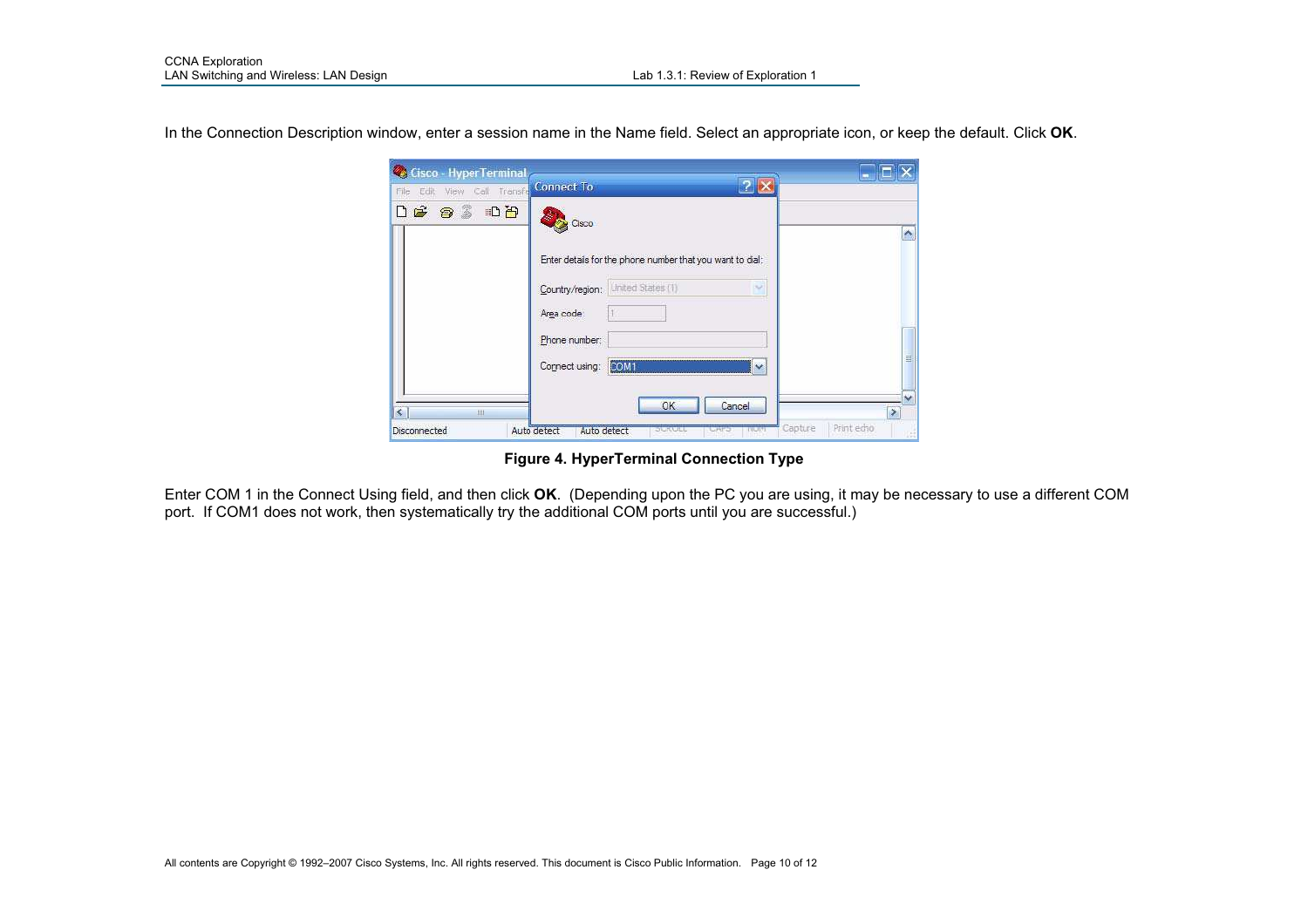In the Connection Description window, enter a session name in the Name field. Select an appropriate icon, or keep the default. Click **OK**.

| Cisco - HyperTerminal<br>View Call Transfe<br>Edit<br>File | <b>Connect To</b>                                                                                                    |                                                             |
|------------------------------------------------------------|----------------------------------------------------------------------------------------------------------------------|-------------------------------------------------------------|
| $D \times \otimes \otimes \cdots \otimes$                  | Cisco                                                                                                                | A                                                           |
|                                                            | Enter details for the phone number that you want to dial:<br>Country/region:   United States (1)<br>52<br>Area code: |                                                             |
|                                                            | Phone number:<br>Connect using: COM<br>$\vee$                                                                        | Ξ.                                                          |
| $\overline{\phantom{a}}$<br>Ш<br>Disconnected              | OK<br>Cancel<br>Auto detect<br>Auto detect<br><b>STURBERT</b><br><b>DILLIS</b><br>しれつ                                | $\overline{\phantom{a}}$<br>۶<br>Capture<br>Print echo<br>谣 |

**Figure 4. HyperTerminal Connection Type** 

Enter COM 1 in the Connect Using field, and then click **OK**. (Depending upon the PC you are using, it may be necessary to use a different COM<br>port. If COM1 does not work, then systematically try the additional COM ports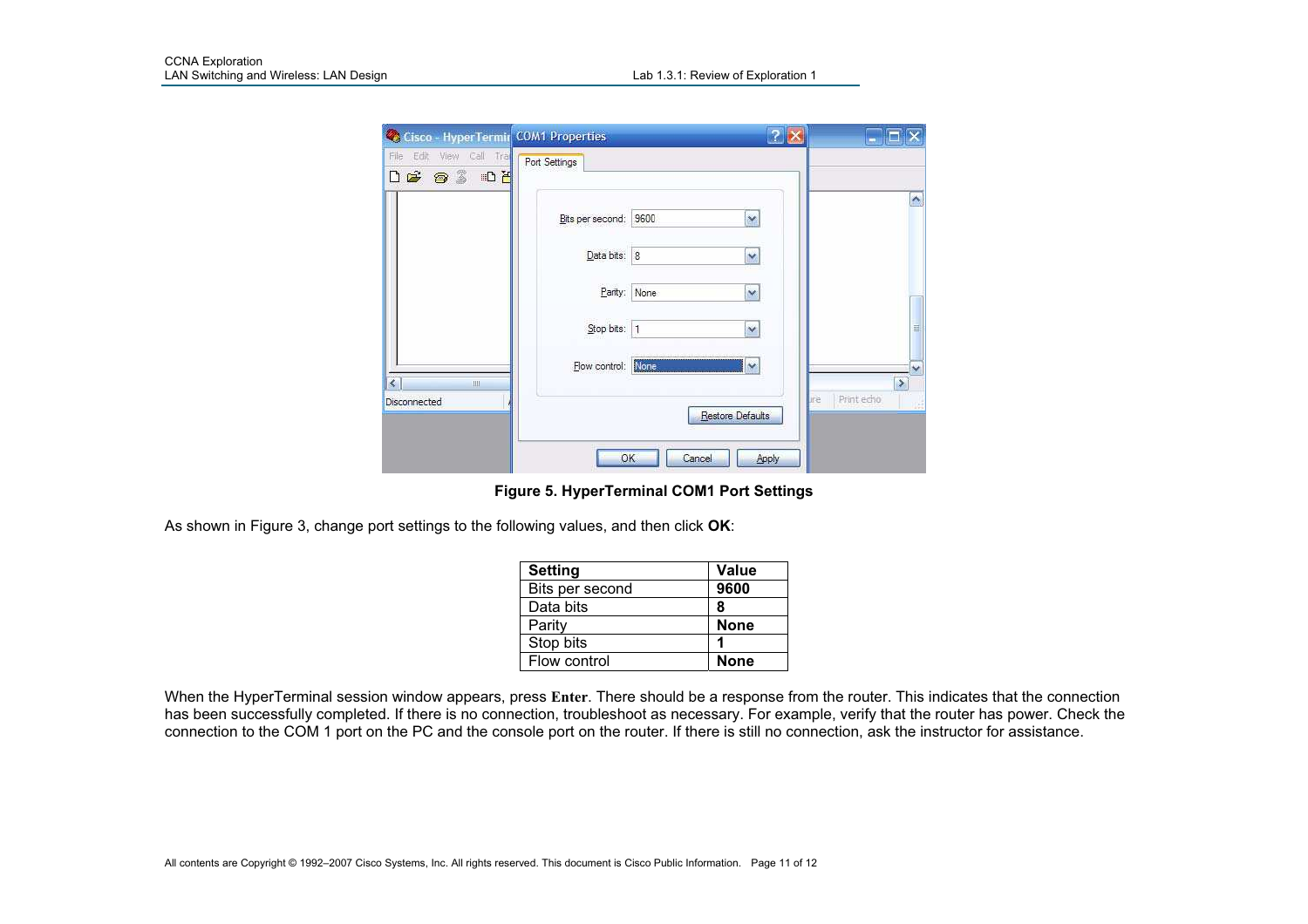| Cisco - HyperTermir COM1 Properties                                                                                                                                                                                                                                                                                                                                                                                                                                                                                                                                                                   |                       |                                       |                                           |
|-------------------------------------------------------------------------------------------------------------------------------------------------------------------------------------------------------------------------------------------------------------------------------------------------------------------------------------------------------------------------------------------------------------------------------------------------------------------------------------------------------------------------------------------------------------------------------------------------------|-----------------------|---------------------------------------|-------------------------------------------|
| Edit<br>View Call Tra<br>肺<br><b>DE 93 02</b>                                                                                                                                                                                                                                                                                                                                                                                                                                                                                                                                                         | Port Settings         |                                       |                                           |
|                                                                                                                                                                                                                                                                                                                                                                                                                                                                                                                                                                                                       | Bits per second: 9600 | ×                                     | ×                                         |
|                                                                                                                                                                                                                                                                                                                                                                                                                                                                                                                                                                                                       | Data bits: 8          | Y                                     |                                           |
|                                                                                                                                                                                                                                                                                                                                                                                                                                                                                                                                                                                                       | Parity:<br>None       | Y                                     |                                           |
|                                                                                                                                                                                                                                                                                                                                                                                                                                                                                                                                                                                                       | Stop bits:  1         | Ÿ                                     | 亖                                         |
| $\overline{\phantom{a}}$<br>$\mathop{\mathrm{III}}% \nolimits_{\mathop{\mathrm{III}}% \nolimits_{\mathop{\mathrm{III}}}} \cap \mathop{\mathrm{III}} \nolimits_{\mathop{\mathrm{III}}% \nolimits_{\mathop{\mathrm{III}}}} \cap \mathop{\mathrm{III}} \nolimits_{\mathop{\mathrm{III}}% \nolimits_{\mathop{\mathrm{III}}}} \cap \mathop{\mathrm{III}} \nolimits_{\mathop{\mathrm{III}}% \nolimits_{\mathop{\mathrm{III}}}} \cap \mathop{\mathrm{III}} \nolimits_{\mathop{\mathrm{IV}}% \nolimits_{\mathop{\mathrm{III}}}} \cap \mathop{\mathrm{III}} \nolimits_{\mathop{\mathrm{IV}}% \nolimits_{\math$ | Flow control: None    | $\sim$                                | $\overline{\phantom{a}}$<br>$\rightarrow$ |
| Disconnected                                                                                                                                                                                                                                                                                                                                                                                                                                                                                                                                                                                          |                       | <b>ure</b><br><b>Restore Defaults</b> | Print echo<br>15<br><b>AGE</b>            |
|                                                                                                                                                                                                                                                                                                                                                                                                                                                                                                                                                                                                       | OK<br>Cancel          | Apply                                 |                                           |

**Figure 5. HyperTerminal COM1 Port Settings** 

As shown in Figure 3, change port settings to the following values, and then click **OK**:

| <b>Setting</b>  | <b>Value</b> |
|-----------------|--------------|
| Bits per second | 9600         |
| Data bits       | 8            |
| Parity          | <b>None</b>  |
| Stop bits       | ٠            |
| Flow control    | <b>None</b>  |

When the HyperTerminal session window appears, press **Enter**. There should be a response from the router. This indicates that the connection has been successfully completed. If there is no connection, troubleshoot as necessary. For example, verify that the router has power. Check the connection to the COM 1 port on the PC and the console port on the router. If there is still no connection, ask the instructor for assistance.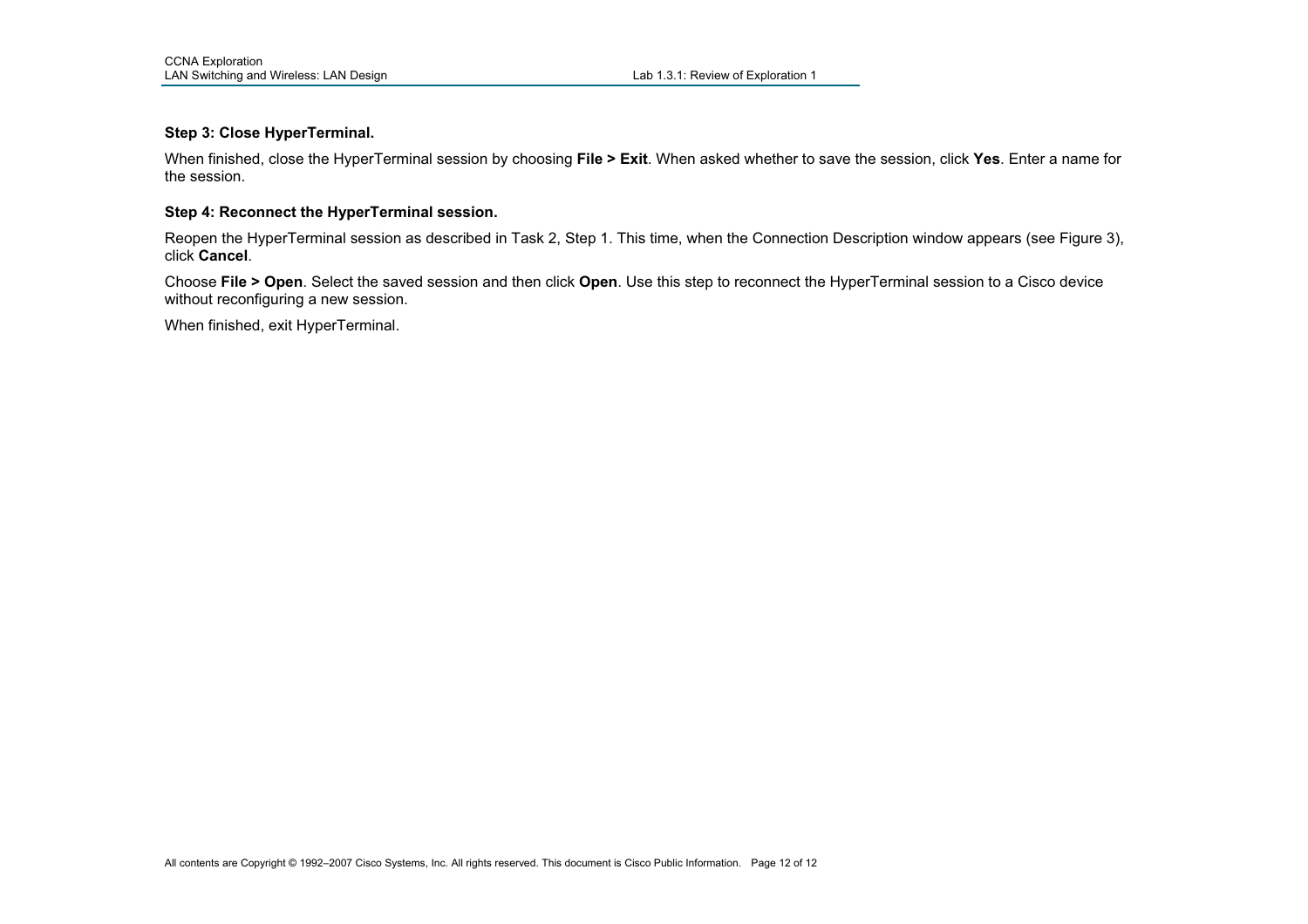#### **Step 3: Close HyperTerminal.**

When finished, close the HyperTerminal session by choosing **File > Exit**. When asked whether to save the session, click **Yes**. Enter a name for the session.

#### **Step 4: Reconnect the HyperTerminal session.**

Reopen the HyperTerminal session as described in Task 2, Step 1. This time, when the Connection Description window appears (see Figure 3), click **Cancel**.

Choose **File > Open**. Select the saved session and then click **Open**. Use this step to reconnect the HyperTerminal session to a Cisco device without reconfiguring a new session.

When finished, exit HyperTerminal.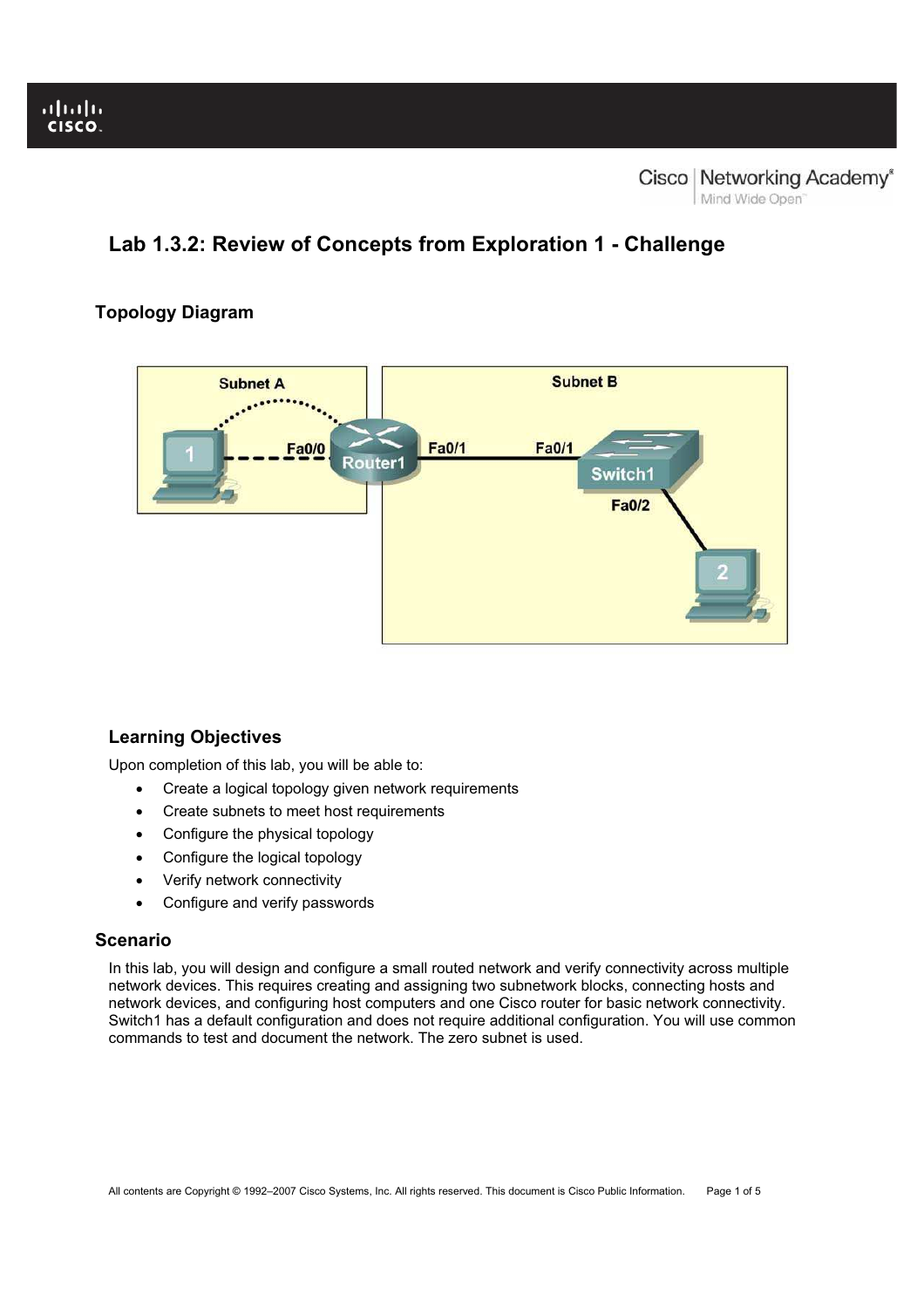# **Lab 1.3.2: Review of Concepts from Exploration 1 - Challenge**

# **Topology Diagram**



# **Learning Objectives**

Upon completion of this lab, you will be able to:

- Create a logical topology given network requirements
- Create subnets to meet host requirements
- Configure the physical topology
- Configure the logical topology
- Verify network connectivity
- Configure and verify passwords

# **Scenario**

In this lab, you will design and configure a small routed network and verify connectivity across multiple network devices. This requires creating and assigning two subnetwork blocks, connecting hosts and network devices, and configuring host computers and one Cisco router for basic network connectivity. Switch1 has a default configuration and does not require additional configuration. You will use common commands to test and document the network. The zero subnet is used.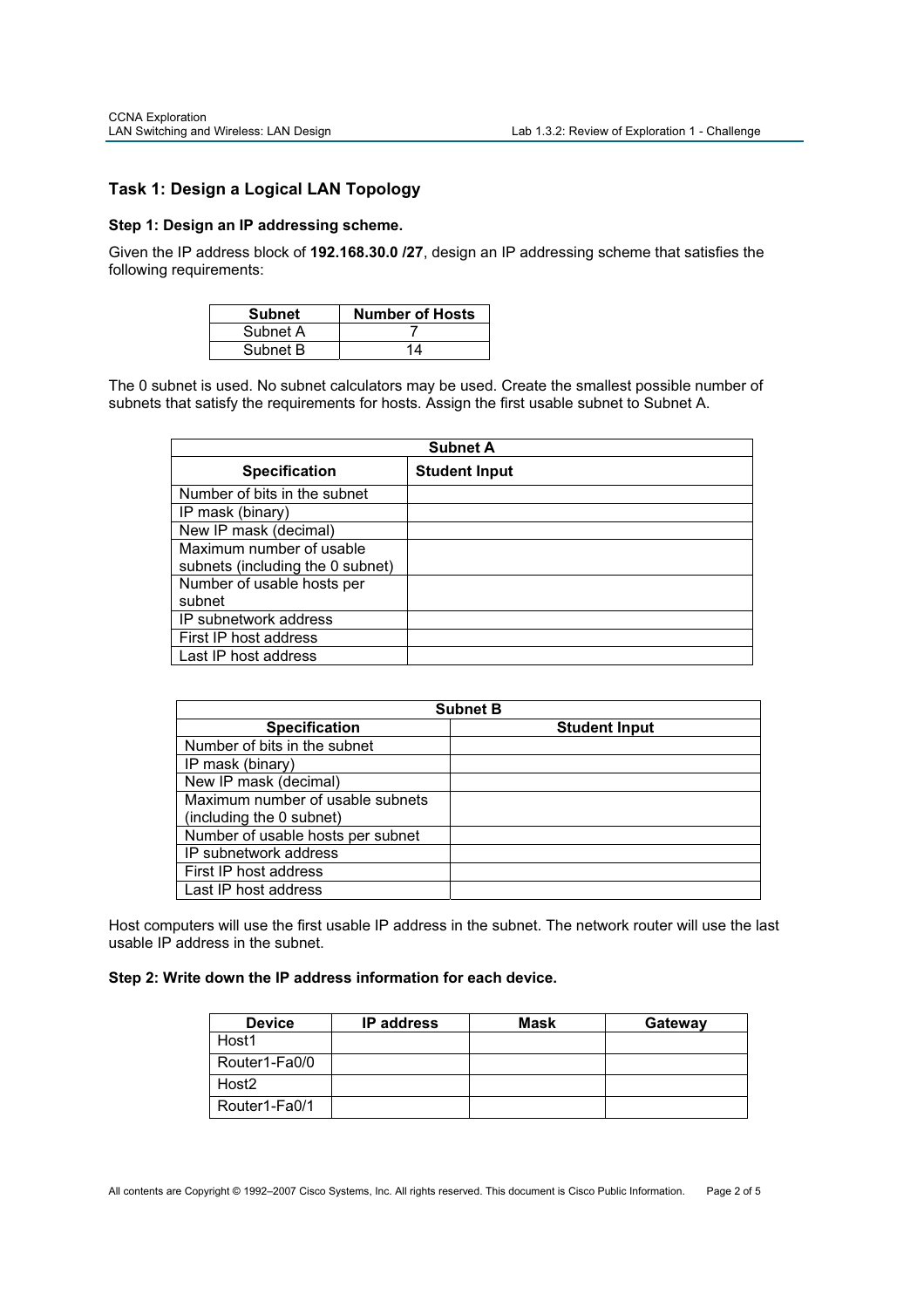# **Task 1: Design a Logical LAN Topology**

### **Step 1: Design an IP addressing scheme.**

Given the IP address block of **192.168.30.0 /27**, design an IP addressing scheme that satisfies the following requirements:

| <b>Subnet</b> | <b>Number of Hosts</b> |
|---------------|------------------------|
| Subnet A      |                        |
| Subnet B      | 14                     |

The 0 subnet is used. No subnet calculators may be used. Create the smallest possible number of subnets that satisfy the requirements for hosts. Assign the first usable subnet to Subnet A.

| <b>Subnet A</b>                  |                      |  |
|----------------------------------|----------------------|--|
| <b>Specification</b>             | <b>Student Input</b> |  |
| Number of bits in the subnet     |                      |  |
| IP mask (binary)                 |                      |  |
| New IP mask (decimal)            |                      |  |
| Maximum number of usable         |                      |  |
| subnets (including the 0 subnet) |                      |  |
| Number of usable hosts per       |                      |  |
| subnet                           |                      |  |
| IP subnetwork address            |                      |  |
| First IP host address            |                      |  |
| Last IP host address             |                      |  |

| <b>Subnet B</b>                   |                      |  |
|-----------------------------------|----------------------|--|
| <b>Specification</b>              | <b>Student Input</b> |  |
| Number of bits in the subnet      |                      |  |
| IP mask (binary)                  |                      |  |
| New IP mask (decimal)             |                      |  |
| Maximum number of usable subnets  |                      |  |
| (including the 0 subnet)          |                      |  |
| Number of usable hosts per subnet |                      |  |
| IP subnetwork address             |                      |  |
| First IP host address             |                      |  |
| Last IP host address              |                      |  |

Host computers will use the first usable IP address in the subnet. The network router will use the last usable IP address in the subnet.

### **Step 2: Write down the IP address information for each device.**

| <b>Device</b>     | <b>IP</b> address | Mask | Gateway |
|-------------------|-------------------|------|---------|
| Host1             |                   |      |         |
| Router1-Fa0/0     |                   |      |         |
| Host <sub>2</sub> |                   |      |         |
| Router1-Fa0/1     |                   |      |         |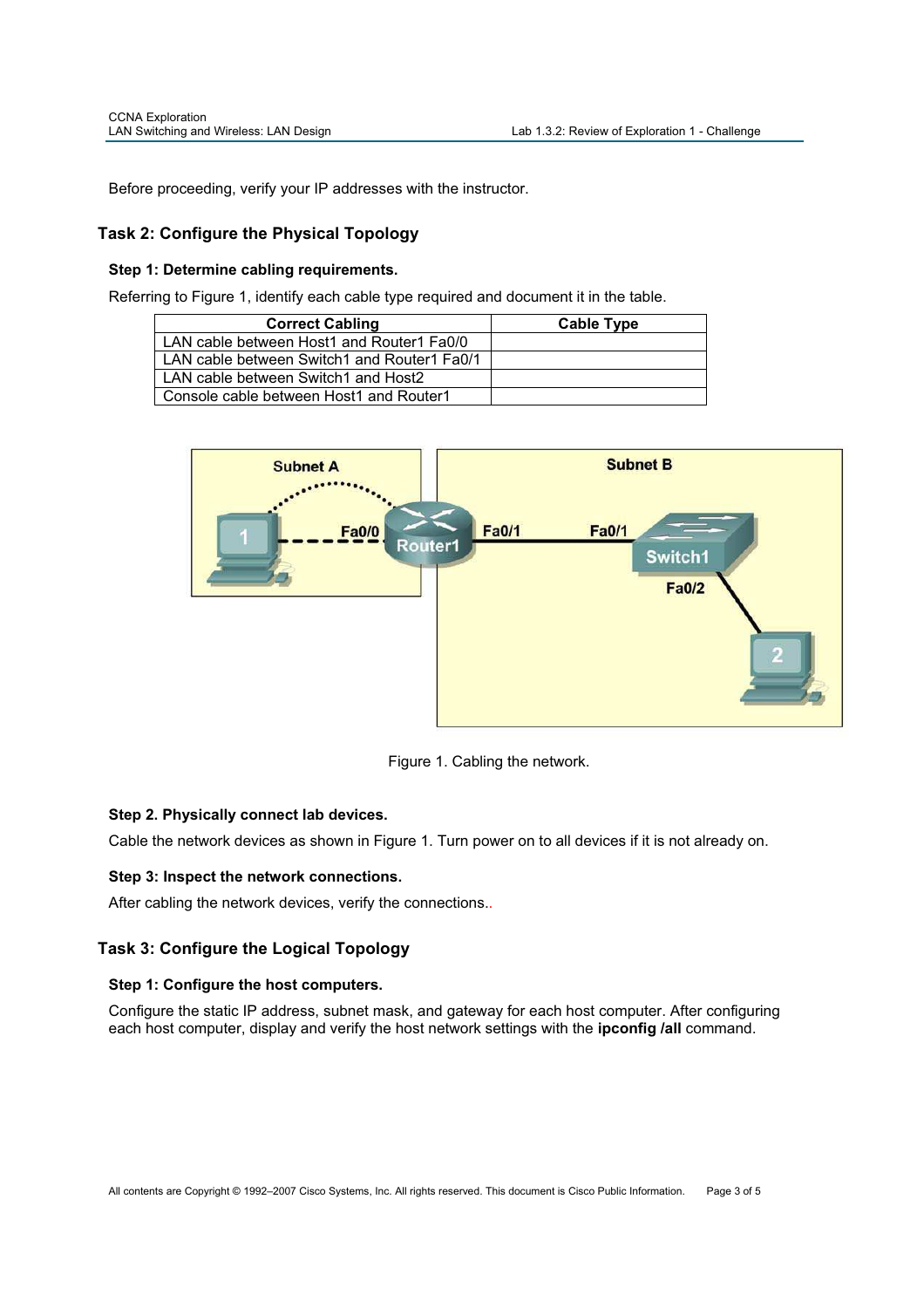Before proceeding, verify your IP addresses with the instructor.

# **Task 2: Configure the Physical Topology**

### **Step 1: Determine cabling requirements.**

Referring to Figure 1, identify each cable type required and document it in the table.

| <b>Correct Cabling</b>                      | Cable Type |
|---------------------------------------------|------------|
| LAN cable between Host1 and Router1 Fa0/0   |            |
| LAN cable between Switch1 and Router1 Fa0/1 |            |
| LAN cable between Switch1 and Host2         |            |
| Console cable between Host1 and Router1     |            |



Figure 1. Cabling the network.

# **Step 2. Physically connect lab devices.**

Cable the network devices as shown in Figure 1. Turn power on to all devices if it is not already on.

### **Step 3: Inspect the network connections.**

After cabling the network devices, verify the connections..

# **Task 3: Configure the Logical Topology**

### **Step 1: Configure the host computers.**

Configure the static IP address, subnet mask, and gateway for each host computer. After configuring each host computer, display and verify the host network settings with the **ipconfig /all** command.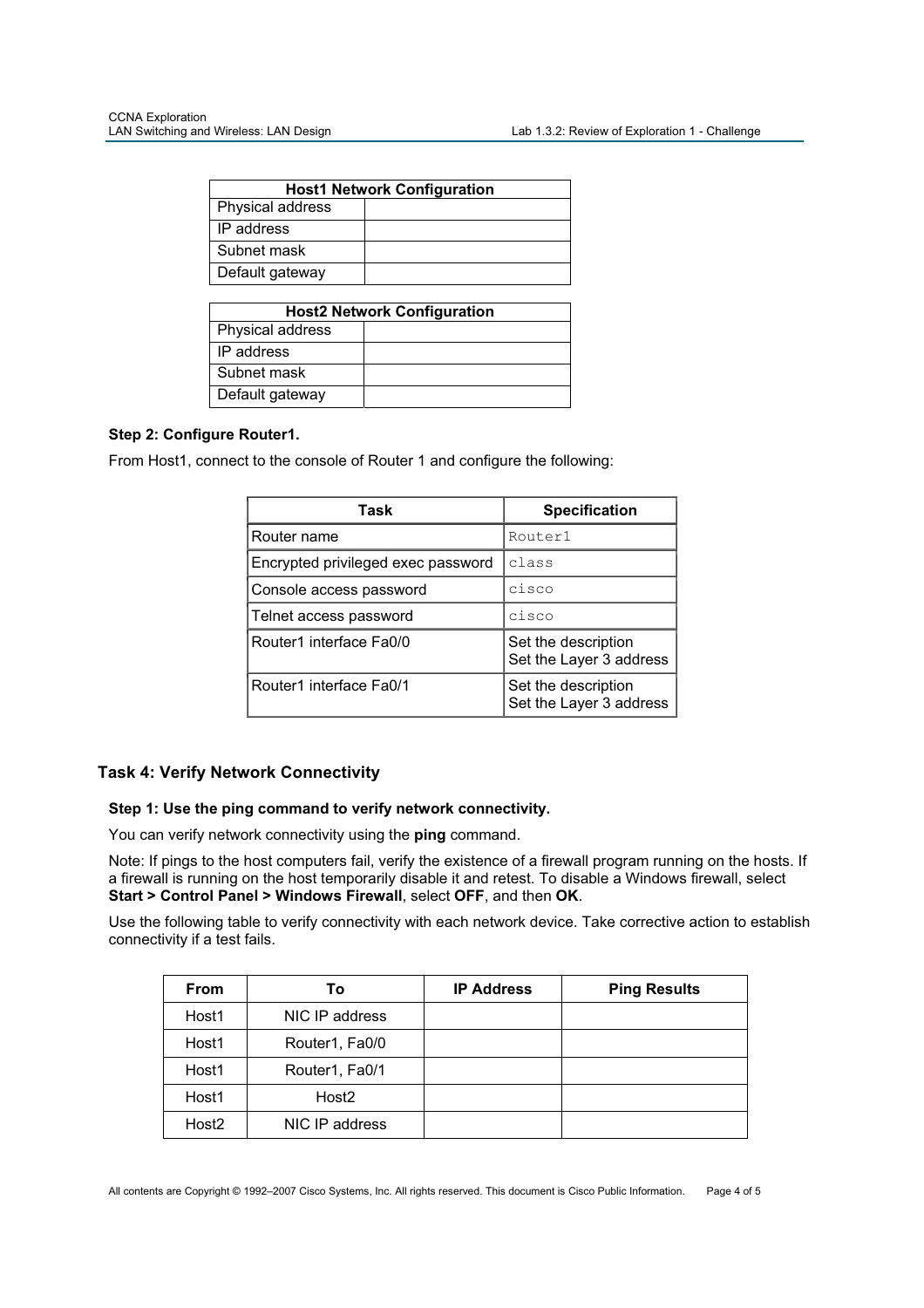| <b>Host1 Network Configuration</b> |  |  |
|------------------------------------|--|--|
| Physical address                   |  |  |
| IP address                         |  |  |
| Subnet mask                        |  |  |
| Default gateway                    |  |  |

| <b>Host2 Network Configuration</b> |  |  |
|------------------------------------|--|--|
| Physical address                   |  |  |
| IP address                         |  |  |
| Subnet mask                        |  |  |
| Default gateway                    |  |  |

# **Step 2: Configure Router1.**

From Host1, connect to the console of Router 1 and configure the following:

| Task                               | <b>Specification</b>                           |
|------------------------------------|------------------------------------------------|
| Router name                        | Router1                                        |
| Encrypted privileged exec password | class                                          |
| Console access password            | cisco                                          |
| Telnet access password             | cisco                                          |
| Router1 interface Fa0/0            | Set the description<br>Set the Layer 3 address |
| Router1 interface Fa0/1            | Set the description<br>Set the Layer 3 address |

# **Task 4: Verify Network Connectivity**

### **Step 1: Use the ping command to verify network connectivity.**

You can verify network connectivity using the **ping** command.

Note: If pings to the host computers fail, verify the existence of a firewall program running on the hosts. If a firewall is running on the host temporarily disable it and retest. To disable a Windows firewall, select **Start > Control Panel > Windows Firewall**, select **OFF**, and then **OK**.

Use the following table to verify connectivity with each network device. Take corrective action to establish connectivity if a test fails.

| <b>From</b>       | To                | <b>IP Address</b> | <b>Ping Results</b> |
|-------------------|-------------------|-------------------|---------------------|
| Host1             | NIC IP address    |                   |                     |
| Host1             | Router1, Fa0/0    |                   |                     |
| Host1             | Router1, Fa0/1    |                   |                     |
| Host1             | Host <sub>2</sub> |                   |                     |
| Host <sub>2</sub> | NIC IP address    |                   |                     |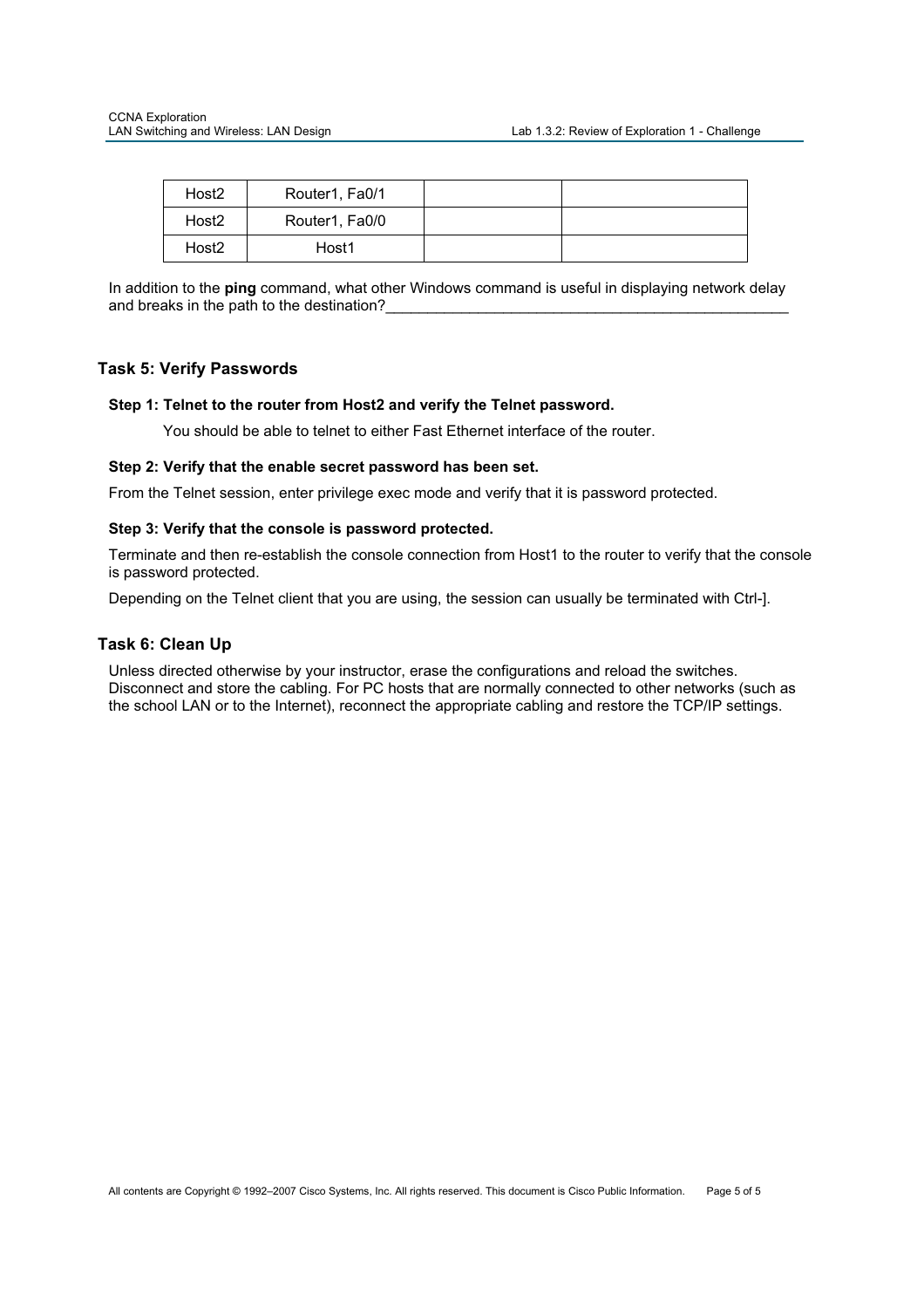| Host <sub>2</sub> | Router1, Fa0/1 |  |
|-------------------|----------------|--|
| Host <sub>2</sub> | Router1, Fa0/0 |  |
| Host <sub>2</sub> | Host1          |  |

In addition to the **ping** command, what other Windows command is useful in displaying network delay and breaks in the path to the destination?

### **Task 5: Verify Passwords**

### **Step 1: Telnet to the router from Host2 and verify the Telnet password.**

You should be able to telnet to either Fast Ethernet interface of the router.

### **Step 2: Verify that the enable secret password has been set.**

From the Telnet session, enter privilege exec mode and verify that it is password protected.

### **Step 3: Verify that the console is password protected.**

Terminate and then re-establish the console connection from Host1 to the router to verify that the console is password protected.

Depending on the Telnet client that you are using, the session can usually be terminated with Ctrl-].

### **Task 6: Clean Up**

Unless directed otherwise by your instructor, erase the configurations and reload the switches. Disconnect and store the cabling. For PC hosts that are normally connected to other networks (such as the school LAN or to the Internet), reconnect the appropriate cabling and restore the TCP/IP settings.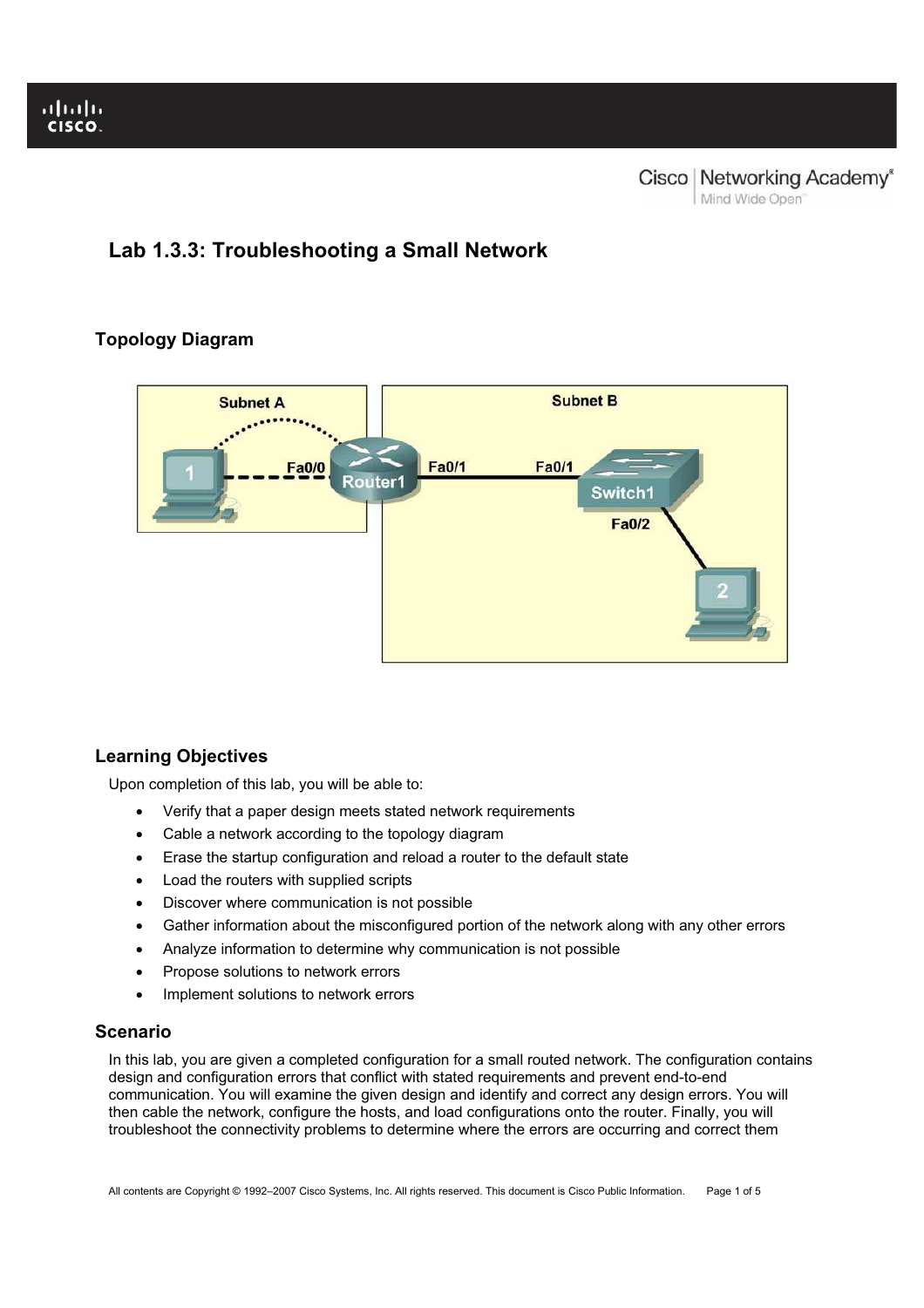# **Lab 1.3.3: Troubleshooting a Small Network**

# **Topology Diagram**



# **Learning Objectives**

Upon completion of this lab, you will be able to:

- Verify that a paper design meets stated network requirements
- Cable a network according to the topology diagram
- Erase the startup configuration and reload a router to the default state
- Load the routers with supplied scripts
- Discover where communication is not possible
- Gather information about the misconfigured portion of the network along with any other errors
- Analyze information to determine why communication is not possible
- Propose solutions to network errors
- Implement solutions to network errors

# **Scenario**

In this lab, you are given a completed configuration for a small routed network. The configuration contains design and configuration errors that conflict with stated requirements and prevent end-to-end communication. You will examine the given design and identify and correct any design errors. You will then cable the network, configure the hosts, and load configurations onto the router. Finally, you will troubleshoot the connectivity problems to determine where the errors are occurring and correct them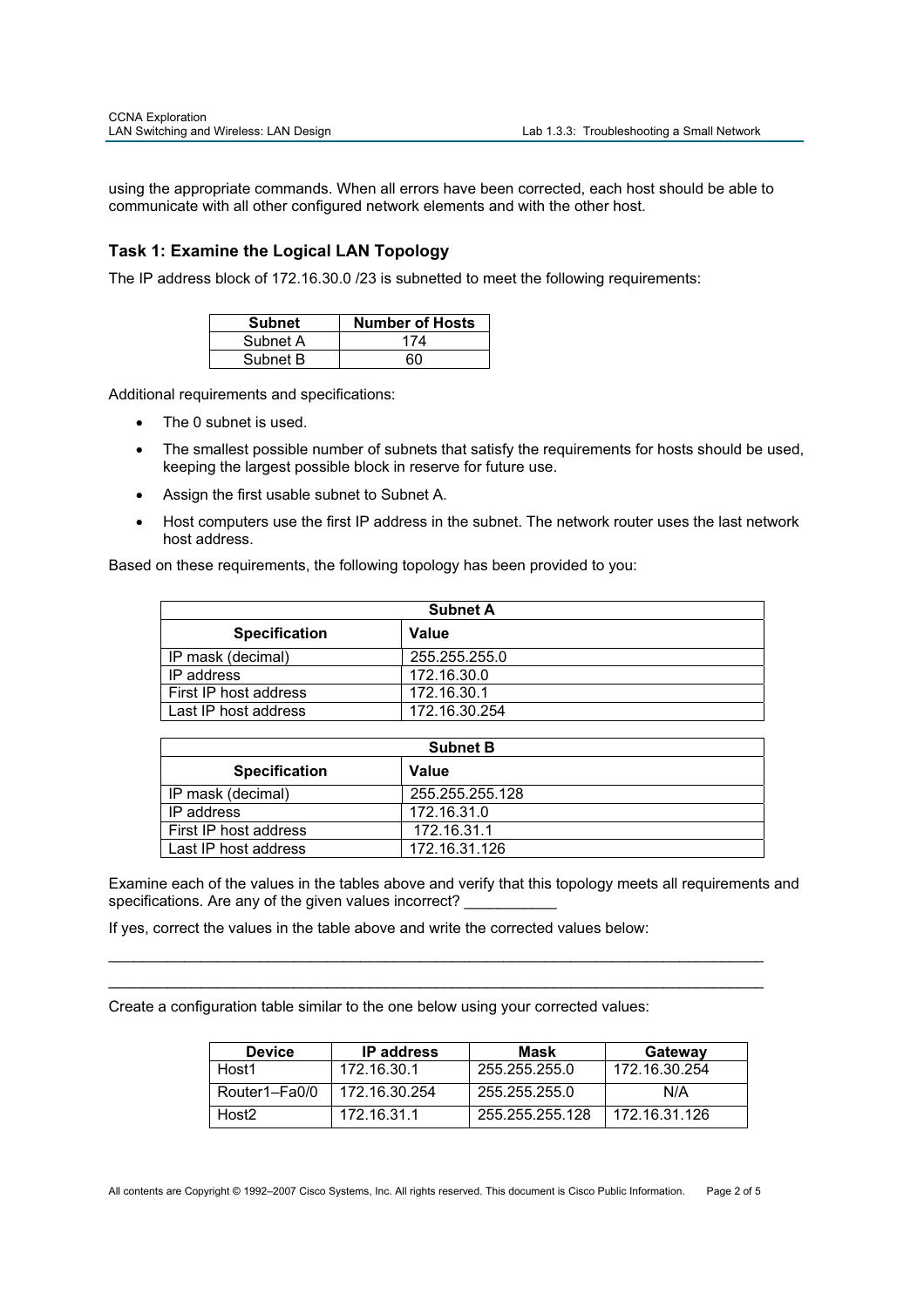using the appropriate commands. When all errors have been corrected, each host should be able to communicate with all other configured network elements and with the other host.

# **Task 1: Examine the Logical LAN Topology**

The IP address block of 172.16.30.0 /23 is subnetted to meet the following requirements:

| <b>Subnet</b> | <b>Number of Hosts</b> |
|---------------|------------------------|
| Subnet A      | 174                    |
| Subnet B      | RΛ                     |

Additional requirements and specifications:

- The 0 subnet is used.
- The smallest possible number of subnets that satisfy the requirements for hosts should be used, keeping the largest possible block in reserve for future use.
- Assign the first usable subnet to Subnet A.
- Host computers use the first IP address in the subnet. The network router uses the last network host address.

Based on these requirements, the following topology has been provided to you:

| <b>Subnet A</b>       |               |  |
|-----------------------|---------------|--|
| <b>Specification</b>  | Value         |  |
| IP mask (decimal)     | 255.255.255.0 |  |
| IP address            | 172.16.30.0   |  |
| First IP host address | 172.16.30.1   |  |
| Last IP host address  | 172.16.30.254 |  |

| <b>Subnet B</b>       |                 |  |
|-----------------------|-----------------|--|
| <b>Specification</b>  | Value           |  |
| IP mask (decimal)     | 255.255.255.128 |  |
| IP address            | 172.16.31.0     |  |
| First IP host address | 172.16.31.1     |  |
| Last IP host address  | 172.16.31.126   |  |

Examine each of the values in the tables above and verify that this topology meets all requirements and specifications. Are any of the given values incorrect?

\_\_\_\_\_\_\_\_\_\_\_\_\_\_\_\_\_\_\_\_\_\_\_\_\_\_\_\_\_\_\_\_\_\_\_\_\_\_\_\_\_\_\_\_\_\_\_\_\_\_\_\_\_\_\_\_\_\_\_\_\_\_\_\_\_\_\_\_\_\_\_\_\_\_\_\_\_\_ \_\_\_\_\_\_\_\_\_\_\_\_\_\_\_\_\_\_\_\_\_\_\_\_\_\_\_\_\_\_\_\_\_\_\_\_\_\_\_\_\_\_\_\_\_\_\_\_\_\_\_\_\_\_\_\_\_\_\_\_\_\_\_\_\_\_\_\_\_\_\_\_\_\_\_\_\_\_

If yes, correct the values in the table above and write the corrected values below:

Create a configuration table similar to the one below using your corrected values:

| <b>Device</b>     | <b>IP</b> address | Mask            | Gateway       |
|-------------------|-------------------|-----------------|---------------|
| Host1             | 172.16.30.1       | 255.255.255.0   | 172.16.30.254 |
| Router1-Fa0/0     | 172.16.30.254     | 255.255.255.0   | N/A           |
| Host <sub>2</sub> | 172.16.31.1       | 255.255.255.128 | 172.16.31.126 |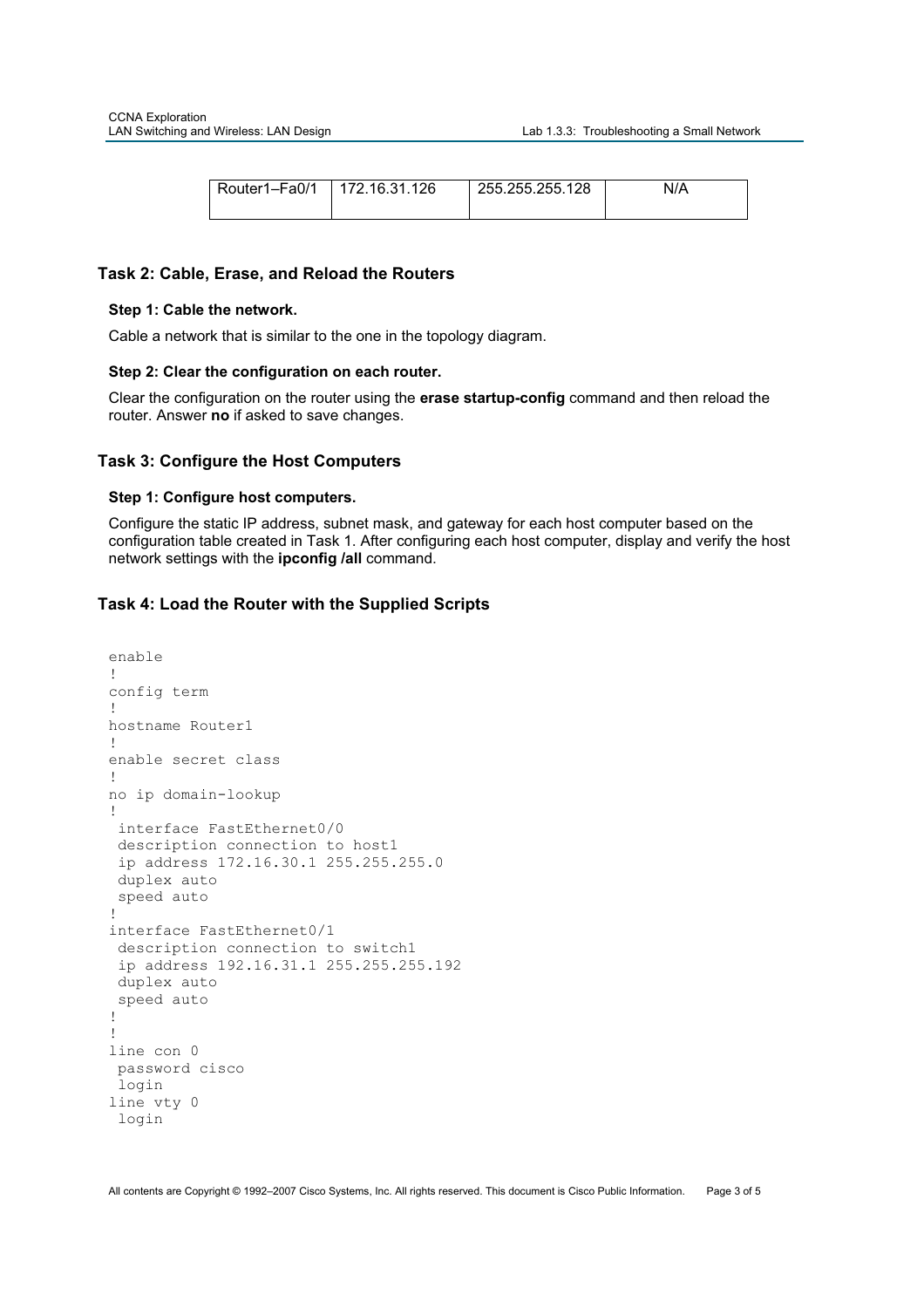| Router1-Fa0/1 | 172.16.31.126 | 255.255.255.128 | N/A |
|---------------|---------------|-----------------|-----|
|---------------|---------------|-----------------|-----|

### **Task 2: Cable, Erase, and Reload the Routers**

#### **Step 1: Cable the network.**

Cable a network that is similar to the one in the topology diagram.

### **Step 2: Clear the configuration on each router.**

Clear the configuration on the router using the **erase startup-config** command and then reload the router. Answer **no** if asked to save changes.

### **Task 3: Configure the Host Computers**

#### **Step 1: Configure host computers.**

Configure the static IP address, subnet mask, and gateway for each host computer based on the configuration table created in Task 1. After configuring each host computer, display and verify the host network settings with the **ipconfig /all** command.

### **Task 4: Load the Router with the Supplied Scripts**

```
enable
!
config term 
!
hostname Router1 
!
enable secret class 
!
no ip domain-lookup 
!
  interface FastEthernet0/0 
  description connection to host1 
  ip address 172.16.30.1 255.255.255.0 
 duplex auto 
  speed auto 
!
interface FastEthernet0/1 
  description connection to switch1 
  ip address 192.16.31.1 255.255.255.192 
duplex auto 
  speed auto 
!
!
line con 0 
 password cisco 
 login 
line vty 0 
 login
```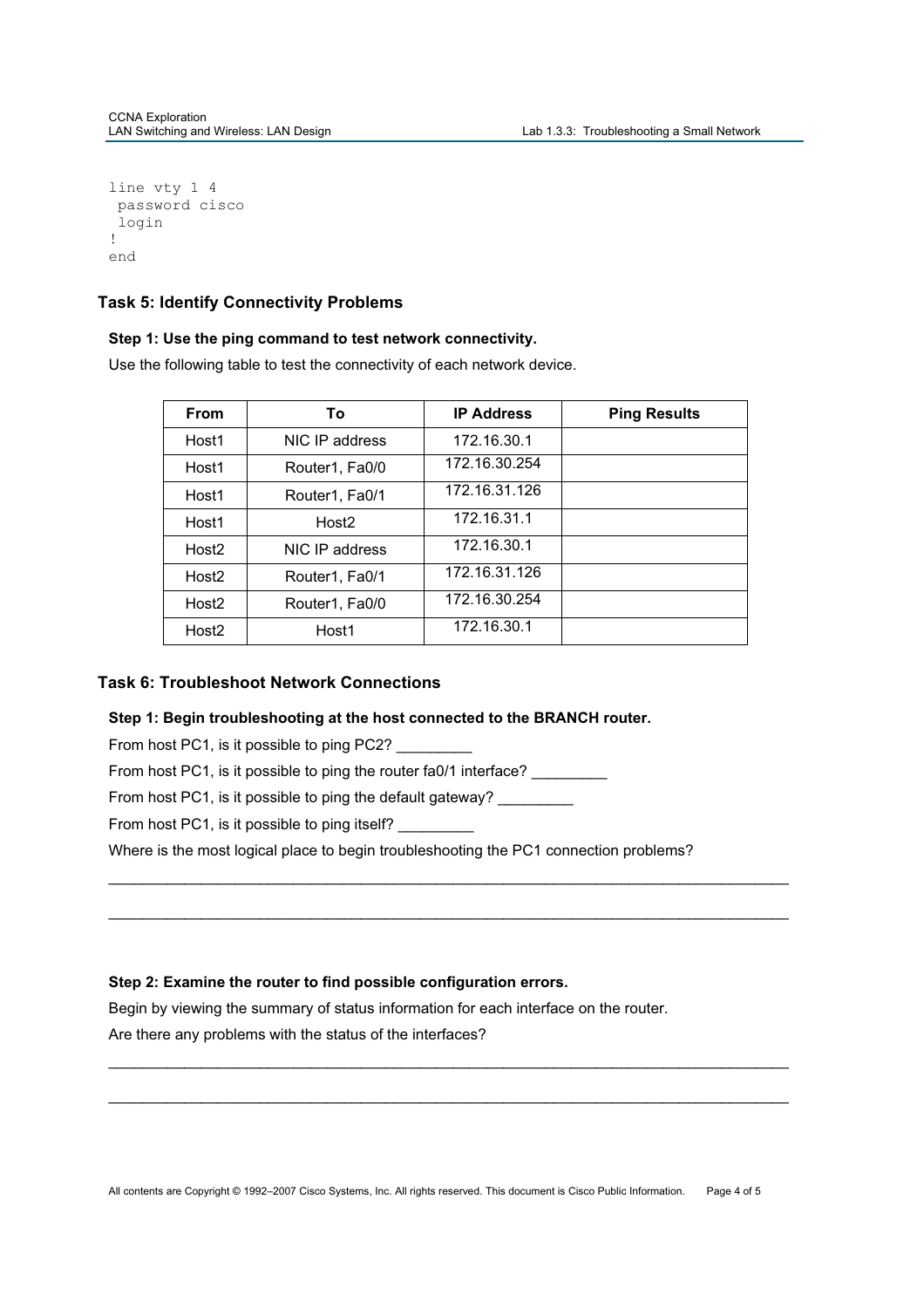```
line vty 1 4 
 password cisco 
 login 
!
end
```
# **Task 5: Identify Connectivity Problems**

### **Step 1: Use the ping command to test network connectivity.**

Use the following table to test the connectivity of each network device.

| <b>From</b>       | Τo                | <b>IP Address</b> | <b>Ping Results</b> |
|-------------------|-------------------|-------------------|---------------------|
| Host1             | NIC IP address    | 172.16.30.1       |                     |
| Host1             | Router1, Fa0/0    | 172.16.30.254     |                     |
| Host1             | Router1, Fa0/1    | 172.16.31.126     |                     |
| Host1             | Host <sub>2</sub> | 172.16.31.1       |                     |
| Host <sub>2</sub> | NIC IP address    | 172.16.30.1       |                     |
| Host <sub>2</sub> | Router1, Fa0/1    | 172.16.31.126     |                     |
| Host <sub>2</sub> | Router1, Fa0/0    | 172.16.30.254     |                     |
| Host <sub>2</sub> | Host1             | 172.16.30.1       |                     |

# **Task 6: Troubleshoot Network Connections**

### **Step 1: Begin troubleshooting at the host connected to the BRANCH router.**

From host PC1, is it possible to ping PC2?

From host PC1, is it possible to ping the router fa0/1 interface? \_\_\_\_\_\_\_\_\_

From host PC1, is it possible to ping the default gateway?

From host PC1, is it possible to ping itself?

Where is the most logical place to begin troubleshooting the PC1 connection problems?

\_\_\_\_\_\_\_\_\_\_\_\_\_\_\_\_\_\_\_\_\_\_\_\_\_\_\_\_\_\_\_\_\_\_\_\_\_\_\_\_\_\_\_\_\_\_\_\_\_\_\_\_\_\_\_\_\_\_\_\_\_\_\_\_\_\_\_\_\_\_\_\_\_\_\_\_\_\_\_\_\_

\_\_\_\_\_\_\_\_\_\_\_\_\_\_\_\_\_\_\_\_\_\_\_\_\_\_\_\_\_\_\_\_\_\_\_\_\_\_\_\_\_\_\_\_\_\_\_\_\_\_\_\_\_\_\_\_\_\_\_\_\_\_\_\_\_\_\_\_\_\_\_\_\_\_\_\_\_\_\_\_\_

\_\_\_\_\_\_\_\_\_\_\_\_\_\_\_\_\_\_\_\_\_\_\_\_\_\_\_\_\_\_\_\_\_\_\_\_\_\_\_\_\_\_\_\_\_\_\_\_\_\_\_\_\_\_\_\_\_\_\_\_\_\_\_\_\_\_\_\_\_\_\_\_\_\_\_\_\_\_\_\_\_

\_\_\_\_\_\_\_\_\_\_\_\_\_\_\_\_\_\_\_\_\_\_\_\_\_\_\_\_\_\_\_\_\_\_\_\_\_\_\_\_\_\_\_\_\_\_\_\_\_\_\_\_\_\_\_\_\_\_\_\_\_\_\_\_\_\_\_\_\_\_\_\_\_\_\_\_\_\_\_\_\_

# **Step 2: Examine the router to find possible configuration errors.**

Begin by viewing the summary of status information for each interface on the router.

Are there any problems with the status of the interfaces?